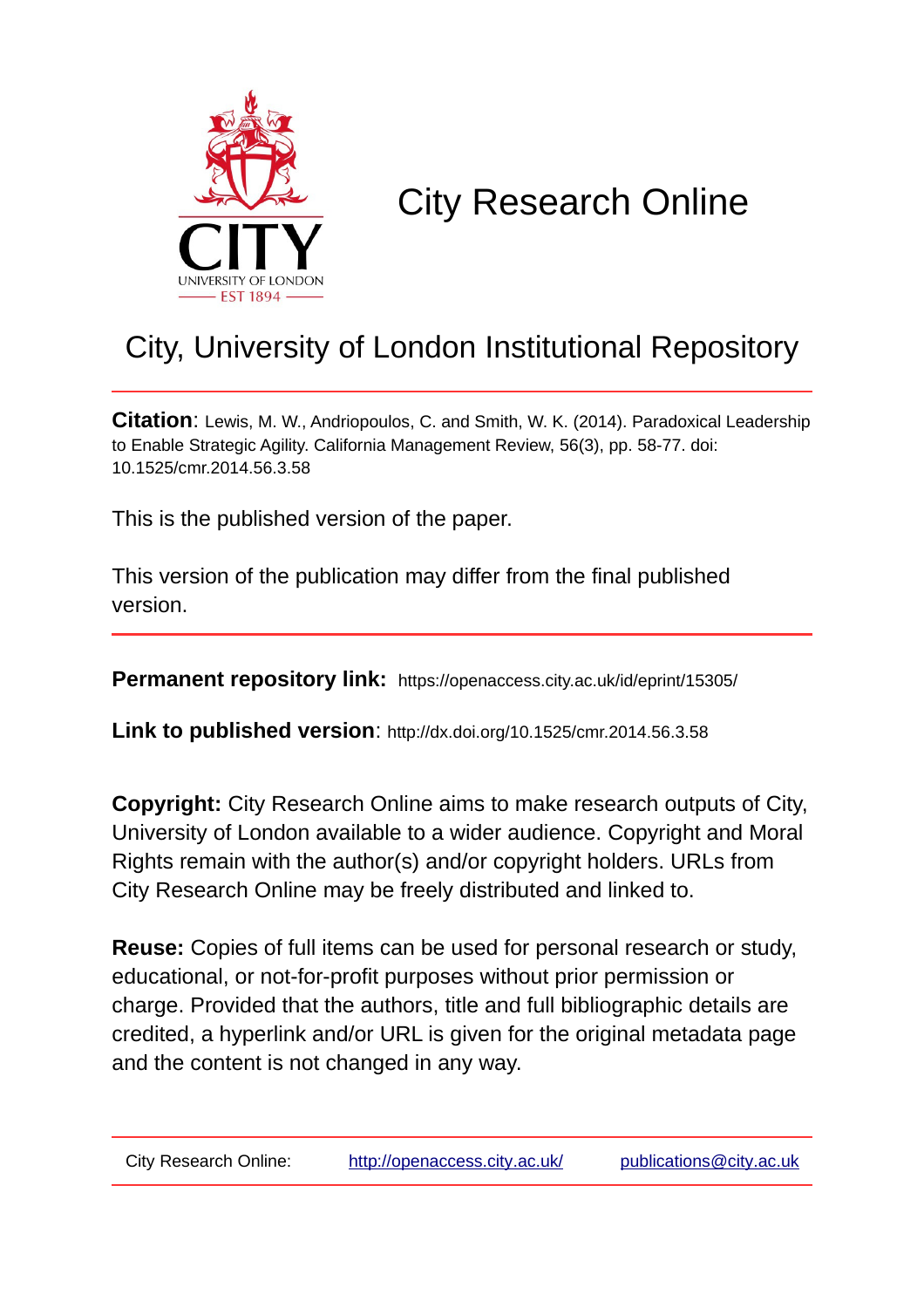

# City Research Online

# City, University of London Institutional Repository

**Citation**: Lewis, M. W., Andriopoulos, C. and Smith, W. K. (2014). Paradoxical Leadership to Enable Strategic Agility. California Management Review, 56(3), pp. 58-77. doi: 10.1525/cmr.2014.56.3.58

This is the published version of the paper.

This version of the publication may differ from the final published version.

**Permanent repository link:** https://openaccess.city.ac.uk/id/eprint/15305/

**Link to published version**: http://dx.doi.org/10.1525/cmr.2014.56.3.58

**Copyright:** City Research Online aims to make research outputs of City, University of London available to a wider audience. Copyright and Moral Rights remain with the author(s) and/or copyright holders. URLs from City Research Online may be freely distributed and linked to.

**Reuse:** Copies of full items can be used for personal research or study, educational, or not-for-profit purposes without prior permission or charge. Provided that the authors, title and full bibliographic details are credited, a hyperlink and/or URL is given for the original metadata page and the content is not changed in any way.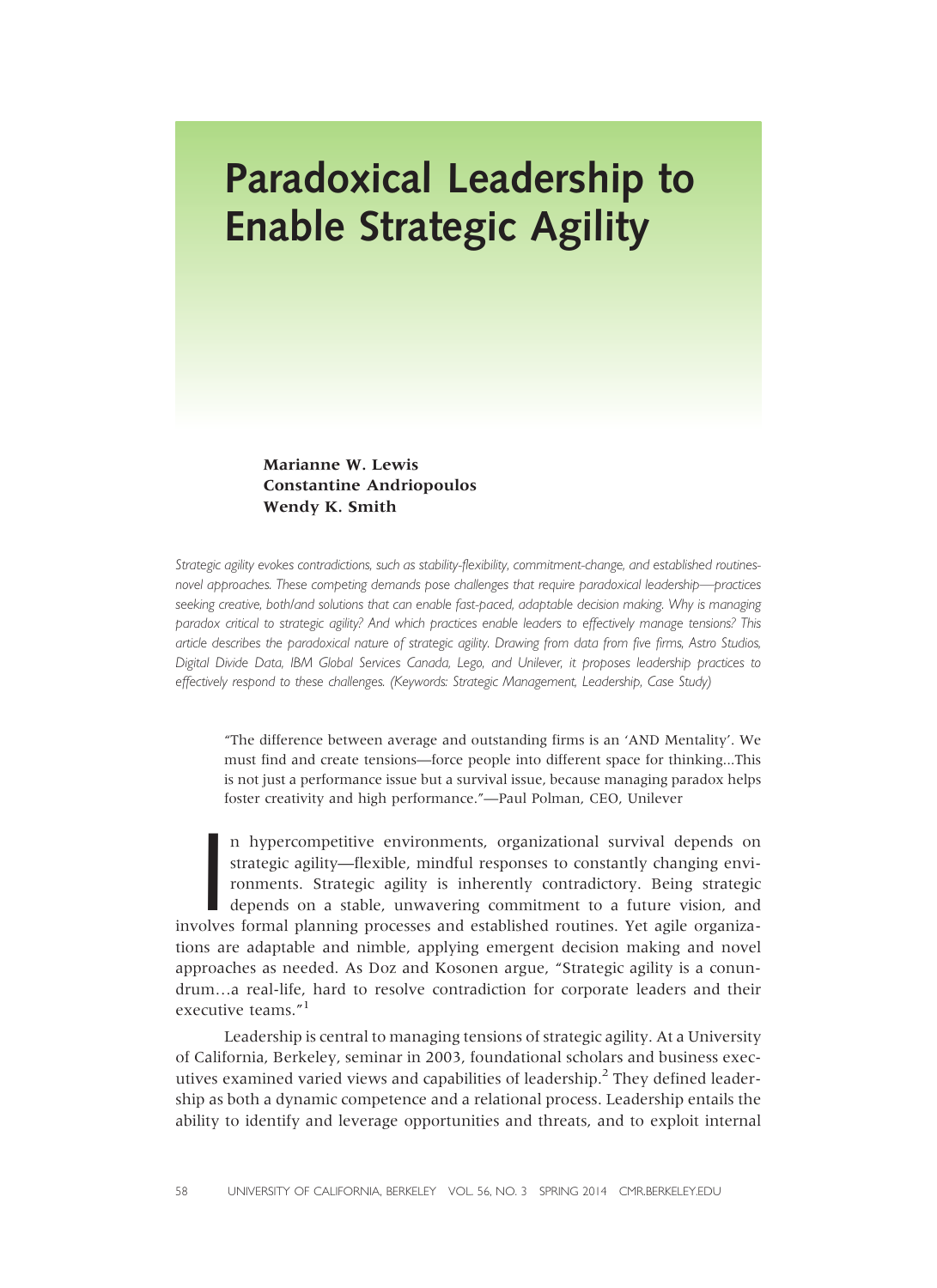# Paradoxical Leadership to Enable Strategic Agility

Marianne W. Lewis Constantine Andriopoulos Wendy K. Smith

Strategic agility evokes contradictions, such as stability-flexibility, commitment-change, and established routinesnovel approaches. These competing demands pose challenges that require paradoxical leadership—practices seeking creative, both/and solutions that can enable fast-paced, adaptable decision making. Why is managing paradox critical to strategic agility? And which practices enable leaders to effectively manage tensions? This article describes the paradoxical nature of strategic agility. Drawing from data from five firms, Astro Studios, Digital Divide Data, IBM Global Services Canada, Lego, and Unilever, it proposes leadership practices to effectively respond to these challenges. (Keywords: Strategic Management, Leadership, Case Study)

"The difference between average and outstanding firms is an 'AND Mentality'. We must find and create tensions—force people into different space for thinking...This is not just a performance issue but a survival issue, because managing paradox helps foster creativity and high performance."—Paul Polman, CEO, Unilever

In hypercompetitive environments, organizational survival depends on strategic agility—flexible, mindful responses to constantly changing environments. Strategic agility is inherently contradictory. Being strategic depends n hypercompetitive environments, organizational survival depends on strategic agility—flexible, mindful responses to constantly changing environments. Strategic agility is inherently contradictory. Being strategic depends on a stable, unwavering commitment to a future vision, and tions are adaptable and nimble, applying emergent decision making and novel approaches as needed. As Doz and Kosonen argue, "Strategic agility is a conundrum…a real-life, hard to resolve contradiction for corporate leaders and their executive teams."<sup>1</sup>

Leadership is central to managing tensions of strategic agility. At a University of California, Berkeley, seminar in 2003, foundational scholars and business executives examined varied views and capabilities of leadership.<sup>2</sup> They defined leadership as both a dynamic competence and a relational process. Leadership entails the ability to identify and leverage opportunities and threats, and to exploit internal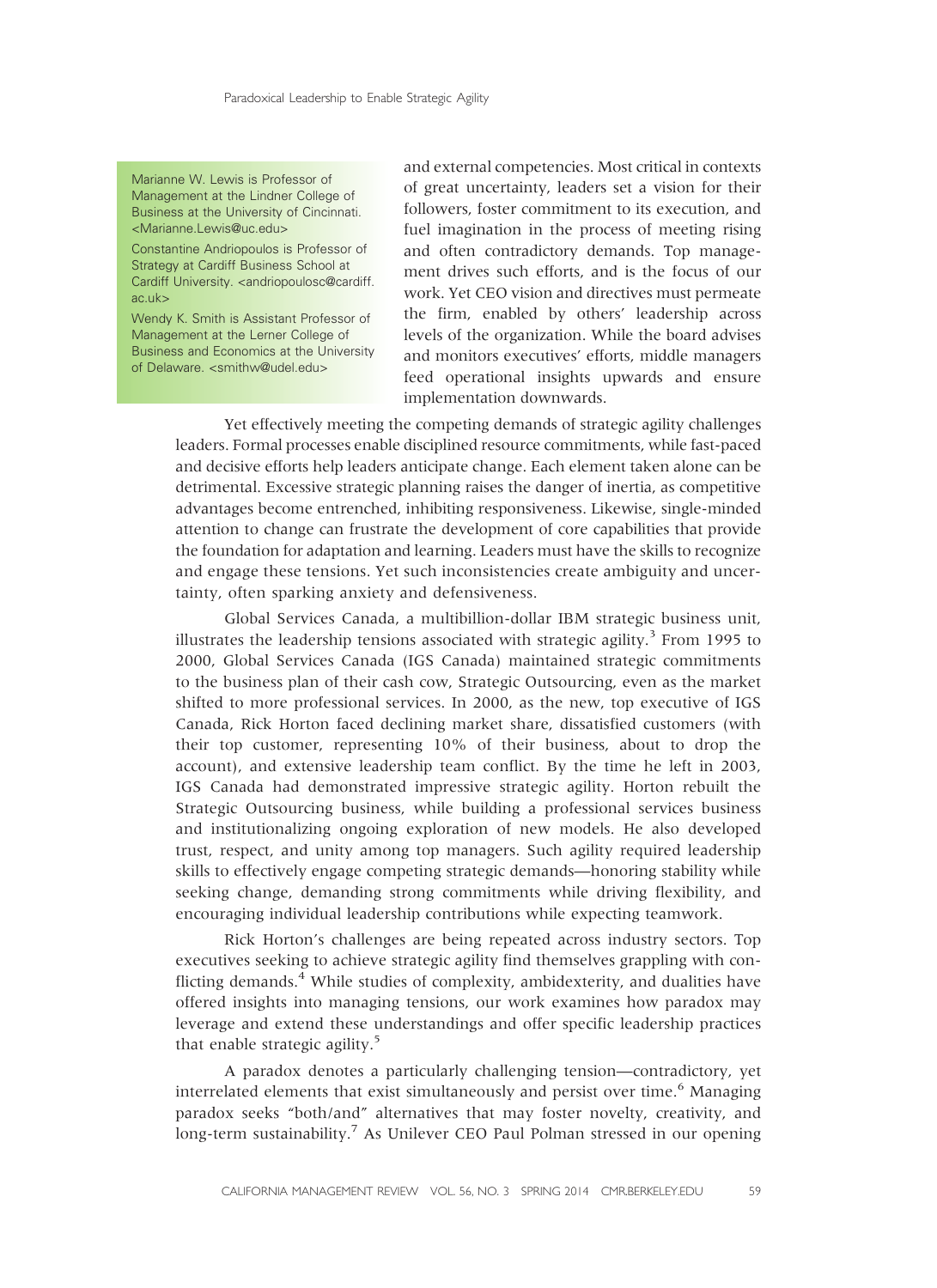Marianne W. Lewis is Professor of Management at the Lindner College of Business at the University of Cincinnati. <Marianne.Lewis@uc.edu>

Constantine Andriopoulos is Professor of Strategy at Cardiff Business School at Cardiff University. <andriopoulosc@cardiff. ac.uk>

Wendy K. Smith is Assistant Professor of Management at the Lerner College of Business and Economics at the University of Delaware. <smithw@udel.edu>

and external competencies. Most critical in contexts of great uncertainty, leaders set a vision for their followers, foster commitment to its execution, and fuel imagination in the process of meeting rising and often contradictory demands. Top management drives such efforts, and is the focus of our work. Yet CEO vision and directives must permeate the firm, enabled by others' leadership across levels of the organization. While the board advises and monitors executives' efforts, middle managers feed operational insights upwards and ensure implementation downwards.

Yet effectively meeting the competing demands of strategic agility challenges leaders. Formal processes enable disciplined resource commitments, while fast-paced and decisive efforts help leaders anticipate change. Each element taken alone can be detrimental. Excessive strategic planning raises the danger of inertia, as competitive advantages become entrenched, inhibiting responsiveness. Likewise, single-minded attention to change can frustrate the development of core capabilities that provide the foundation for adaptation and learning. Leaders must have the skills to recognize and engage these tensions. Yet such inconsistencies create ambiguity and uncertainty, often sparking anxiety and defensiveness.

Global Services Canada, a multibillion-dollar IBM strategic business unit, illustrates the leadership tensions associated with strategic agility.<sup>3</sup> From 1995 to 2000, Global Services Canada (IGS Canada) maintained strategic commitments to the business plan of their cash cow, Strategic Outsourcing, even as the market shifted to more professional services. In 2000, as the new, top executive of IGS Canada, Rick Horton faced declining market share, dissatisfied customers (with their top customer, representing 10% of their business, about to drop the account), and extensive leadership team conflict. By the time he left in 2003, IGS Canada had demonstrated impressive strategic agility. Horton rebuilt the Strategic Outsourcing business, while building a professional services business and institutionalizing ongoing exploration of new models. He also developed trust, respect, and unity among top managers. Such agility required leadership skills to effectively engage competing strategic demands—honoring stability while seeking change, demanding strong commitments while driving flexibility, and encouraging individual leadership contributions while expecting teamwork.

Rick Horton's challenges are being repeated across industry sectors. Top executives seeking to achieve strategic agility find themselves grappling with conflicting demands.<sup>4</sup> While studies of complexity, ambidexterity, and dualities have offered insights into managing tensions, our work examines how paradox may leverage and extend these understandings and offer specific leadership practices that enable strategic agility.<sup>5</sup>

A paradox denotes a particularly challenging tension—contradictory, yet interrelated elements that exist simultaneously and persist over time.<sup>6</sup> Managing paradox seeks "both/and" alternatives that may foster novelty, creativity, and long-term sustainability.<sup>7</sup> As Unilever CEO Paul Polman stressed in our opening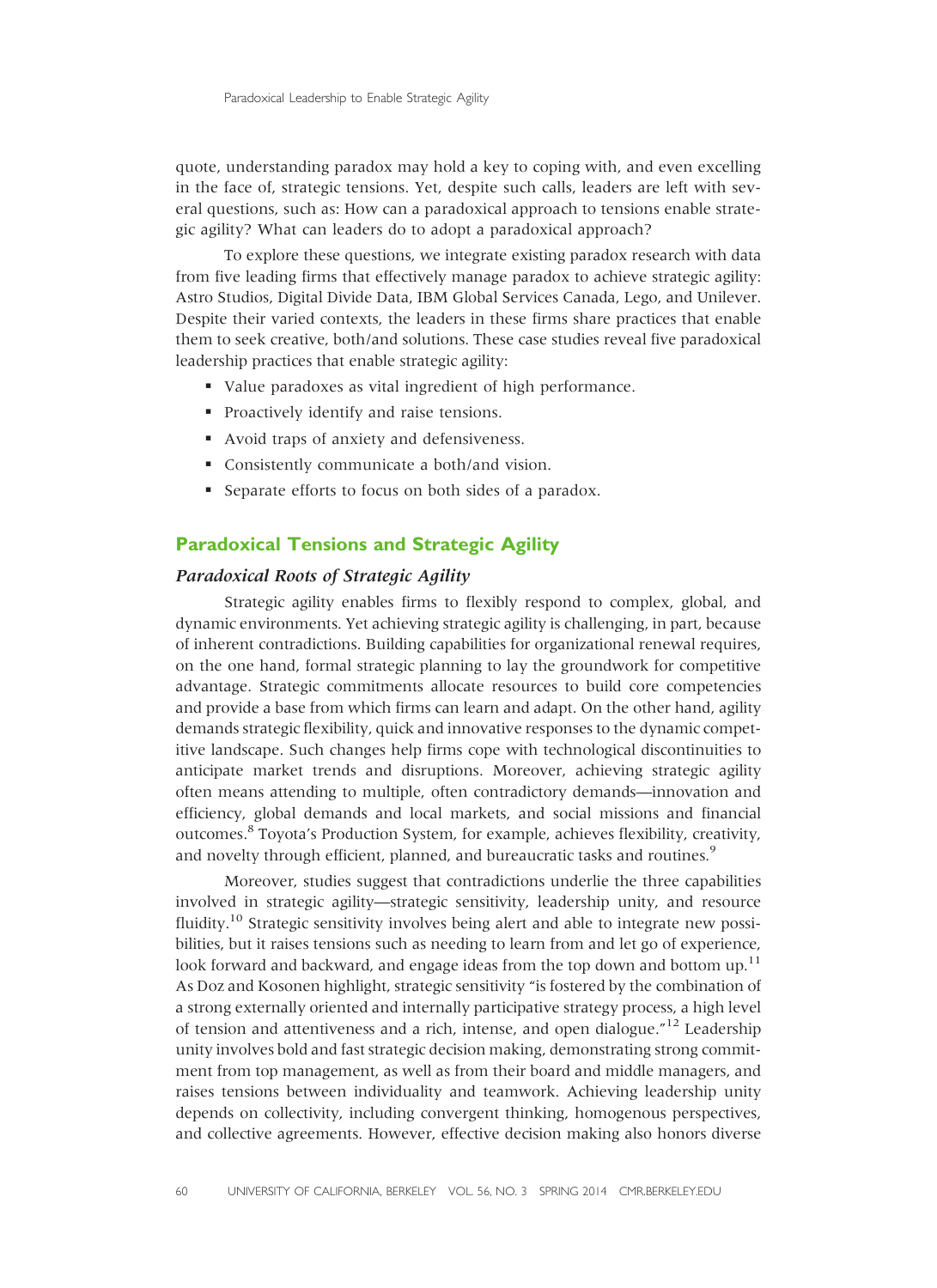quote, understanding paradox may hold a key to coping with, and even excelling in the face of, strategic tensions. Yet, despite such calls, leaders are left with several questions, such as: How can a paradoxical approach to tensions enable strategic agility? What can leaders do to adopt a paradoxical approach?

To explore these questions, we integrate existing paradox research with data from five leading firms that effectively manage paradox to achieve strategic agility: Astro Studios, Digital Divide Data, IBM Global Services Canada, Lego, and Unilever. Despite their varied contexts, the leaders in these firms share practices that enable them to seek creative, both/and solutions. These case studies reveal five paradoxical leadership practices that enable strategic agility:

- § Value paradoxes as vital ingredient of high performance.
- § Proactively identify and raise tensions.
- Avoid traps of anxiety and defensiveness.
- § Consistently communicate a both/and vision.
- § Separate efforts to focus on both sides of a paradox.

### Paradoxical Tensions and Strategic Agility

#### Paradoxical Roots of Strategic Agility

Strategic agility enables firms to flexibly respond to complex, global, and dynamic environments. Yet achieving strategic agility is challenging, in part, because of inherent contradictions. Building capabilities for organizational renewal requires, on the one hand, formal strategic planning to lay the groundwork for competitive advantage. Strategic commitments allocate resources to build core competencies and provide a base from which firms can learn and adapt. On the other hand, agility demands strategic flexibility, quick and innovative responses to the dynamic competitive landscape. Such changes help firms cope with technological discontinuities to anticipate market trends and disruptions. Moreover, achieving strategic agility often means attending to multiple, often contradictory demands—innovation and efficiency, global demands and local markets, and social missions and financial outcomes.8 Toyota's Production System, for example, achieves flexibility, creativity, and novelty through efficient, planned, and bureaucratic tasks and routines.<sup>9</sup>

Moreover, studies suggest that contradictions underlie the three capabilities involved in strategic agility—strategic sensitivity, leadership unity, and resource fluidity.<sup>10</sup> Strategic sensitivity involves being alert and able to integrate new possibilities, but it raises tensions such as needing to learn from and let go of experience, look forward and backward, and engage ideas from the top down and bottom  $up^{11}$ . As Doz and Kosonen highlight, strategic sensitivity "is fostered by the combination of a strong externally oriented and internally participative strategy process, a high level of tension and attentiveness and a rich, intense, and open dialogue."<sup>12</sup> Leadership unity involves bold and fast strategic decision making, demonstrating strong commitment from top management, as well as from their board and middle managers, and raises tensions between individuality and teamwork. Achieving leadership unity depends on collectivity, including convergent thinking, homogenous perspectives, and collective agreements. However, effective decision making also honors diverse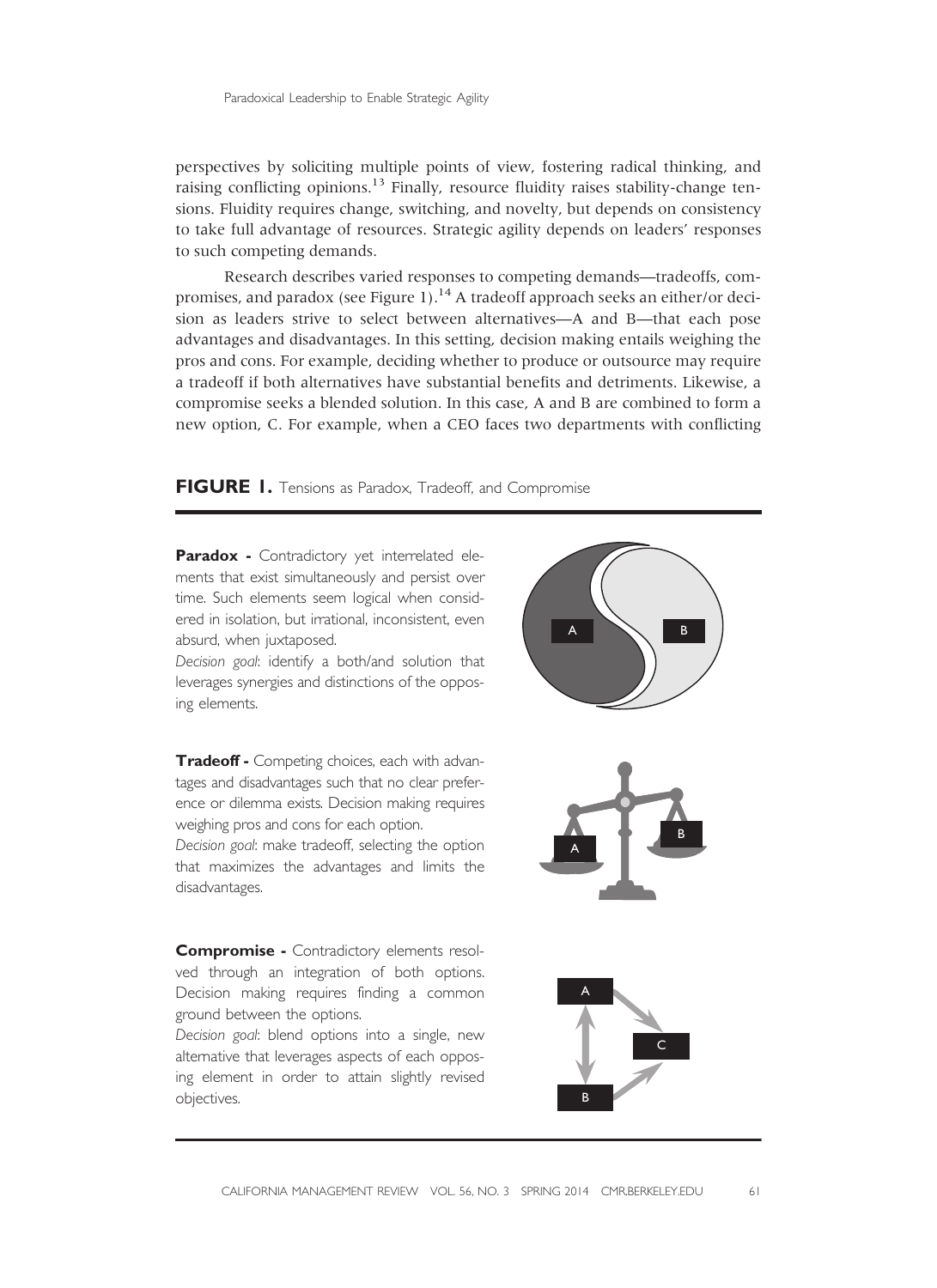perspectives by soliciting multiple points of view, fostering radical thinking, and raising conflicting opinions.<sup>13</sup> Finally, resource fluidity raises stability-change tensions. Fluidity requires change, switching, and novelty, but depends on consistency to take full advantage of resources. Strategic agility depends on leaders' responses to such competing demands.

Research describes varied responses to competing demands—tradeoffs, compromises, and paradox (see Figure 1).<sup>14</sup> A tradeoff approach seeks an either/or decision as leaders strive to select between alternatives—A and B—that each pose advantages and disadvantages. In this setting, decision making entails weighing the pros and cons. For example, deciding whether to produce or outsource may require a tradeoff if both alternatives have substantial benefits and detriments. Likewise, a compromise seeks a blended solution. In this case, A and B are combined to form a new option, C. For example, when a CEO faces two departments with conflicting

FIGURE 1. Tensions as Paradox, Tradeoff, and Compromise

Paradox - Contradictory yet interrelated elements that exist simultaneously and persist over time. Such elements seem logical when considered in isolation, but irrational, inconsistent, even absurd, when juxtaposed.

Decision goal: identify a both/and solution that leverages synergies and distinctions of the opposing elements.

Tradeoff - Competing choices, each with advantages and disadvantages such that no clear preference or dilemma exists. Decision making requires weighing pros and cons for each option.

Decision goal: make tradeoff, selecting the option that maximizes the advantages and limits the disadvantages.

Compromise - Contradictory elements resolved through an integration of both options. Decision making requires finding a common ground between the options.

Decision goal: blend options into a single, new alternative that leverages aspects of each opposing element in order to attain slightly revised objectives.

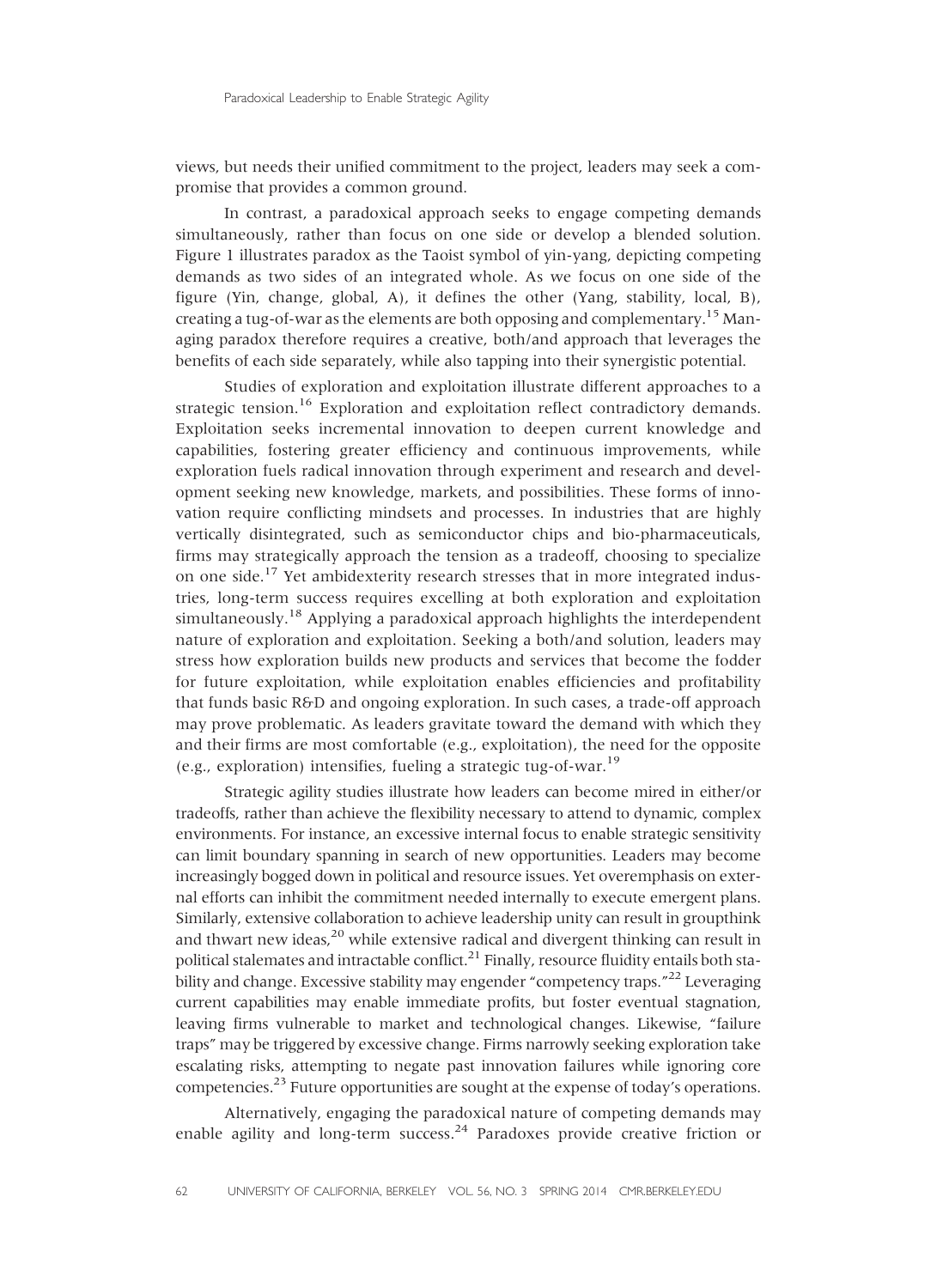views, but needs their unified commitment to the project, leaders may seek a compromise that provides a common ground.

In contrast, a paradoxical approach seeks to engage competing demands simultaneously, rather than focus on one side or develop a blended solution. Figure 1 illustrates paradox as the Taoist symbol of yin-yang, depicting competing demands as two sides of an integrated whole. As we focus on one side of the figure (Yin, change, global, A), it defines the other (Yang, stability, local, B), creating a tug-of-war as the elements are both opposing and complementary.<sup>15</sup> Managing paradox therefore requires a creative, both/and approach that leverages the benefits of each side separately, while also tapping into their synergistic potential.

Studies of exploration and exploitation illustrate different approaches to a strategic tension.<sup>16</sup> Exploration and exploitation reflect contradictory demands. Exploitation seeks incremental innovation to deepen current knowledge and capabilities, fostering greater efficiency and continuous improvements, while exploration fuels radical innovation through experiment and research and development seeking new knowledge, markets, and possibilities. These forms of innovation require conflicting mindsets and processes. In industries that are highly vertically disintegrated, such as semiconductor chips and bio-pharmaceuticals, firms may strategically approach the tension as a tradeoff, choosing to specialize on one side.<sup>17</sup> Yet ambidexterity research stresses that in more integrated industries, long-term success requires excelling at both exploration and exploitation simultaneously.<sup>18</sup> Applying a paradoxical approach highlights the interdependent nature of exploration and exploitation. Seeking a both/and solution, leaders may stress how exploration builds new products and services that become the fodder for future exploitation, while exploitation enables efficiencies and profitability that funds basic R&D and ongoing exploration. In such cases, a trade-off approach may prove problematic. As leaders gravitate toward the demand with which they and their firms are most comfortable (e.g., exploitation), the need for the opposite (e.g., exploration) intensifies, fueling a strategic tug-of-war.<sup>19</sup>

Strategic agility studies illustrate how leaders can become mired in either/or tradeoffs, rather than achieve the flexibility necessary to attend to dynamic, complex environments. For instance, an excessive internal focus to enable strategic sensitivity can limit boundary spanning in search of new opportunities. Leaders may become increasingly bogged down in political and resource issues. Yet overemphasis on external efforts can inhibit the commitment needed internally to execute emergent plans. Similarly, extensive collaboration to achieve leadership unity can result in groupthink and thwart new ideas,<sup>20</sup> while extensive radical and divergent thinking can result in political stalemates and intractable conflict.<sup>21</sup> Finally, resource fluidity entails both stability and change. Excessive stability may engender "competency traps."<sup>22</sup> Leveraging current capabilities may enable immediate profits, but foster eventual stagnation, leaving firms vulnerable to market and technological changes. Likewise, "failure traps" may be triggered by excessive change. Firms narrowly seeking exploration take escalating risks, attempting to negate past innovation failures while ignoring core competencies.23 Future opportunities are sought at the expense of today's operations.

Alternatively, engaging the paradoxical nature of competing demands may enable agility and long-term success.<sup>24</sup> Paradoxes provide creative friction or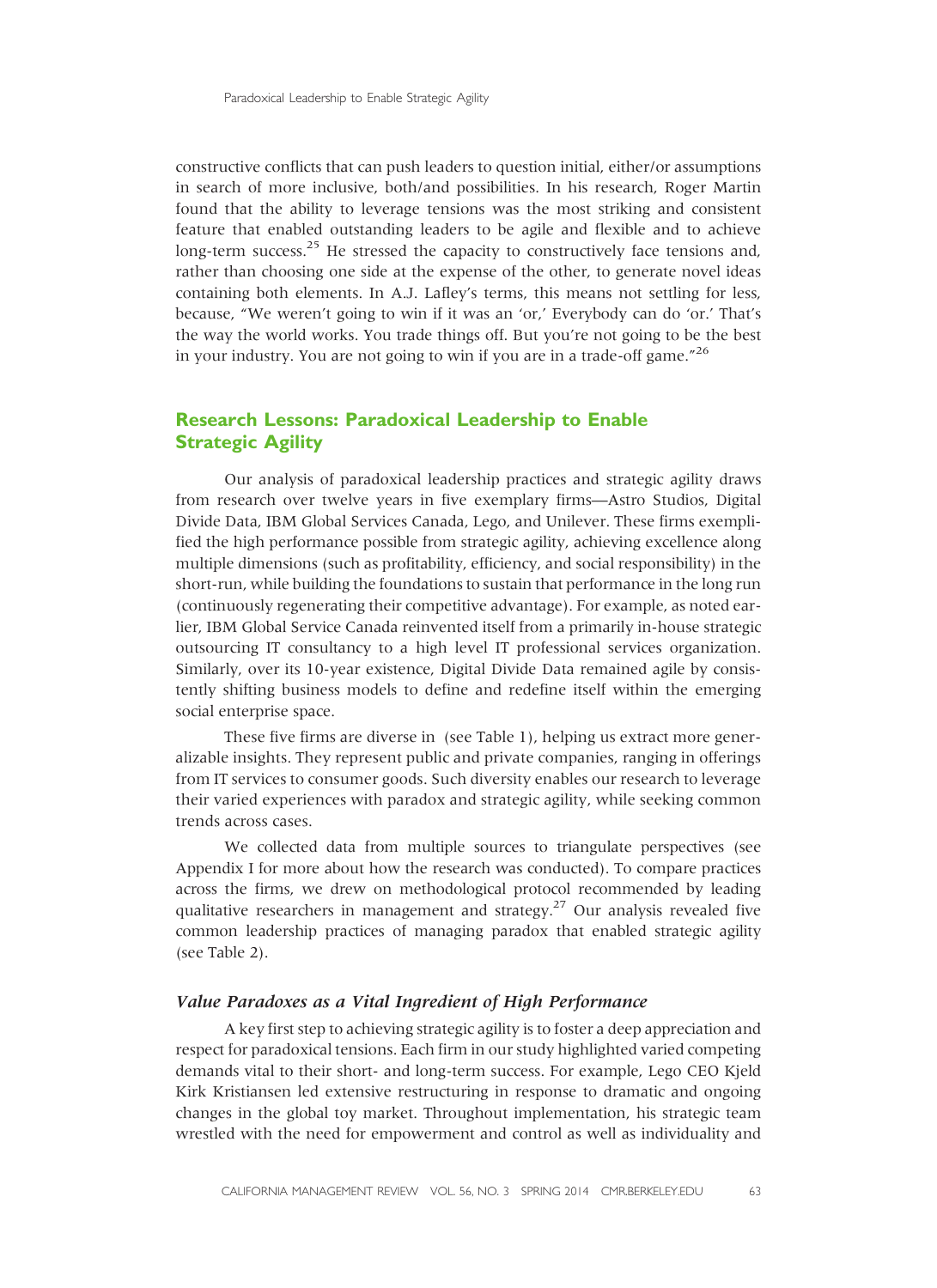constructive conflicts that can push leaders to question initial, either/or assumptions in search of more inclusive, both/and possibilities. In his research, Roger Martin found that the ability to leverage tensions was the most striking and consistent feature that enabled outstanding leaders to be agile and flexible and to achieve long-term success. $^{25}$  He stressed the capacity to constructively face tensions and, rather than choosing one side at the expense of the other, to generate novel ideas containing both elements. In A.J. Lafley's terms, this means not settling for less, because, "We weren't going to win if it was an 'or,' Everybody can do 'or.' That's the way the world works. You trade things off. But you're not going to be the best in your industry. You are not going to win if you are in a trade-off game." 26

### Research Lessons: Paradoxical Leadership to Enable **Strategic Agility**

Our analysis of paradoxical leadership practices and strategic agility draws from research over twelve years in five exemplary firms—Astro Studios, Digital Divide Data, IBM Global Services Canada, Lego, and Unilever. These firms exemplified the high performance possible from strategic agility, achieving excellence along multiple dimensions (such as profitability, efficiency, and social responsibility) in the short-run, while building the foundations to sustain that performance in the long run (continuously regenerating their competitive advantage). For example, as noted earlier, IBM Global Service Canada reinvented itself from a primarily in-house strategic outsourcing IT consultancy to a high level IT professional services organization. Similarly, over its 10-year existence, Digital Divide Data remained agile by consistently shifting business models to define and redefine itself within the emerging social enterprise space.

These five firms are diverse in (see Table 1), helping us extract more generalizable insights. They represent public and private companies, ranging in offerings from IT services to consumer goods. Such diversity enables our research to leverage their varied experiences with paradox and strategic agility, while seeking common trends across cases.

We collected data from multiple sources to triangulate perspectives (see Appendix I for more about how the research was conducted). To compare practices across the firms, we drew on methodological protocol recommended by leading qualitative researchers in management and strategy.<sup>27</sup> Our analysis revealed five common leadership practices of managing paradox that enabled strategic agility (see Table 2).

#### Value Paradoxes as a Vital Ingredient of High Performance

A key first step to achieving strategic agility is to foster a deep appreciation and respect for paradoxical tensions. Each firm in our study highlighted varied competing demands vital to their short- and long-term success. For example, Lego CEO Kjeld Kirk Kristiansen led extensive restructuring in response to dramatic and ongoing changes in the global toy market. Throughout implementation, his strategic team wrestled with the need for empowerment and control as well as individuality and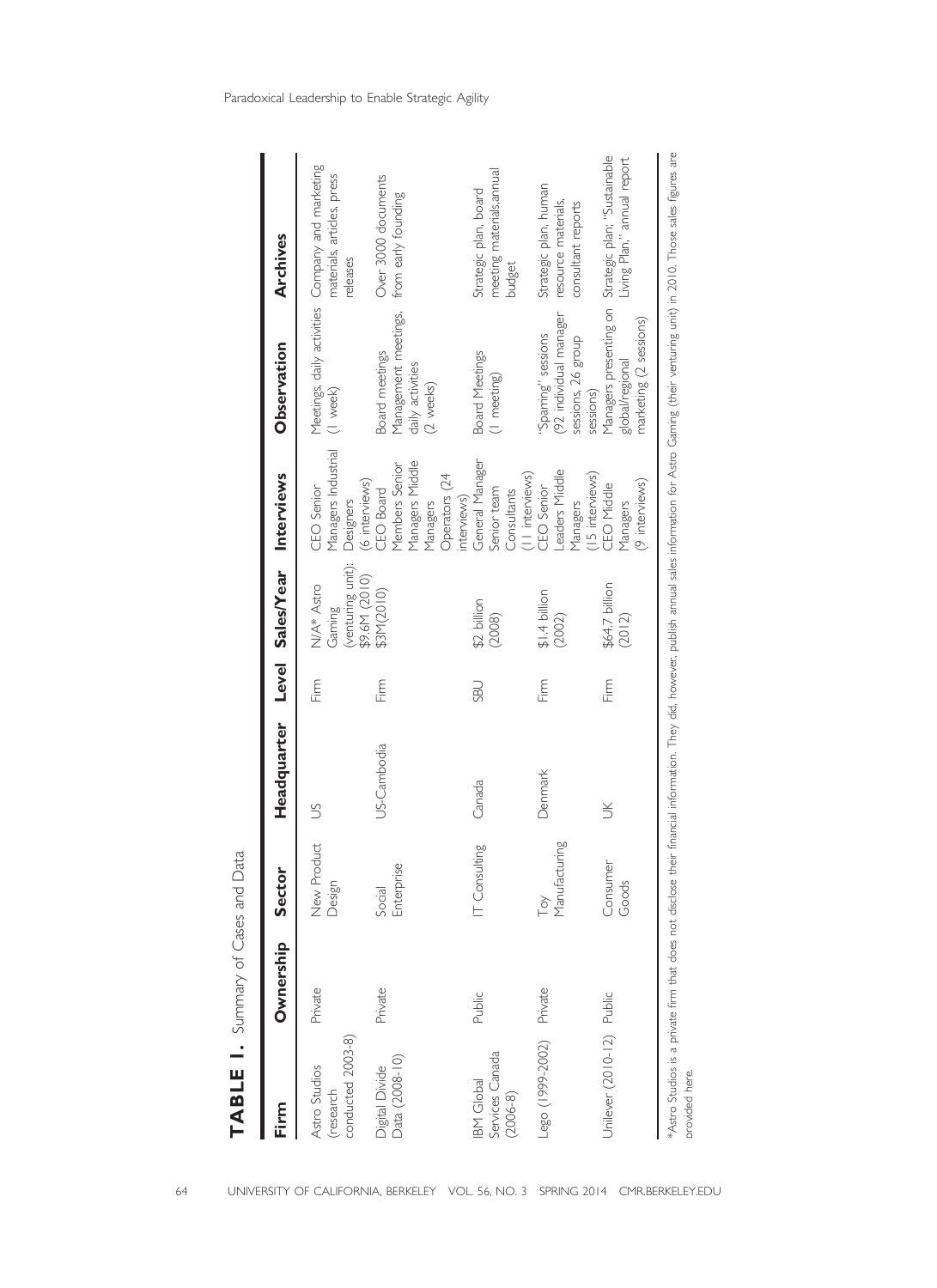| )<br>ג<br>)<br>}  |
|-------------------|
| s<br>Sco<br>I     |
|                   |
| יינה המה המו<br>Ï |
|                   |
|                   |
|                   |
|                   |

| Firm                                            | Ownership | <b>Sector</b>           | Headquarter |            | Level Sales/Year Interviews               |                                                                                               | Observation                                                             | Archives                                                                                   |
|-------------------------------------------------|-----------|-------------------------|-------------|------------|-------------------------------------------|-----------------------------------------------------------------------------------------------|-------------------------------------------------------------------------|--------------------------------------------------------------------------------------------|
| conducted 2003-8)<br>Astro Studios<br>(research | Private   | New Product<br>Design   | S           | Firm       | (venturing unit):<br>N/A* Astro<br>Gaming | Managers Industrial<br>CEO Senior<br>Designers                                                | (I week)                                                                | Meetings, daily activities Company and marketing<br>materials, articles, press<br>releases |
| Data (2008-10)<br>Divide<br>Divide              | Private   | Enterprise<br>Social    | US-Cambodia | Firm       | \$9.6M (2010)<br>\$3M(2010)               | Managers Middle<br>Members Senior<br>Operators (24<br>(6 interviews)<br>CEO Board<br>Managers | Management meetings,<br>Board meetings<br>daily activities<br>(2 weeks) | Over 3000 documents<br>from early founding                                                 |
| Services Canada<br>(2006-8)<br>BM Global        | Public    | [Consulting             | Canada      | <b>UBS</b> | \$2 billion<br>(2008)                     | General Manager<br>Senior team<br>Consultants<br>interviews)                                  | <b>Board Meetings</b><br>(I meeting)                                    | meeting materials,annual<br>Strategic plan, board<br>budget                                |
| Lego (1999-2002)                                | Private   | Manufacturing<br>$\sim$ | Denmark     | Firm       | $$1.4$ billion<br>(2002)                  | -eaders Middle<br>[11 interviews)<br>CEO Senior<br>Managers                                   | (92 individual manager<br>'Sparring' sessions<br>sessions, 26 group     | Strategic plan, human<br>resource materials,<br>consultant reports                         |
| Jnilever (2010-12) Public                       |           | Consumer<br>Goods       | š           | Firm       | \$64.7 billion<br>(2012)                  | 15 interviews)<br>(9 interviews)<br>CEO Middle<br>Managers                                    | marketing (2 sessions)<br>global/regional<br>sessions)                  | Managers presenting on Strategic plan; "Sustainable<br>Living Plan," annual report         |

\*Astro Studios is a private firm that does not disclose their financial information. They did, however, publish annual sales information for Astro Gaming (their venturing unit) in 2010. Those sales figures are

\*Astro Studios is a private firm that does not disclose their financial information. They did, however, publish annual sales information for Astro Gaming (their venturing unit) in 2010. Those sales figures are

provided here.

provided here.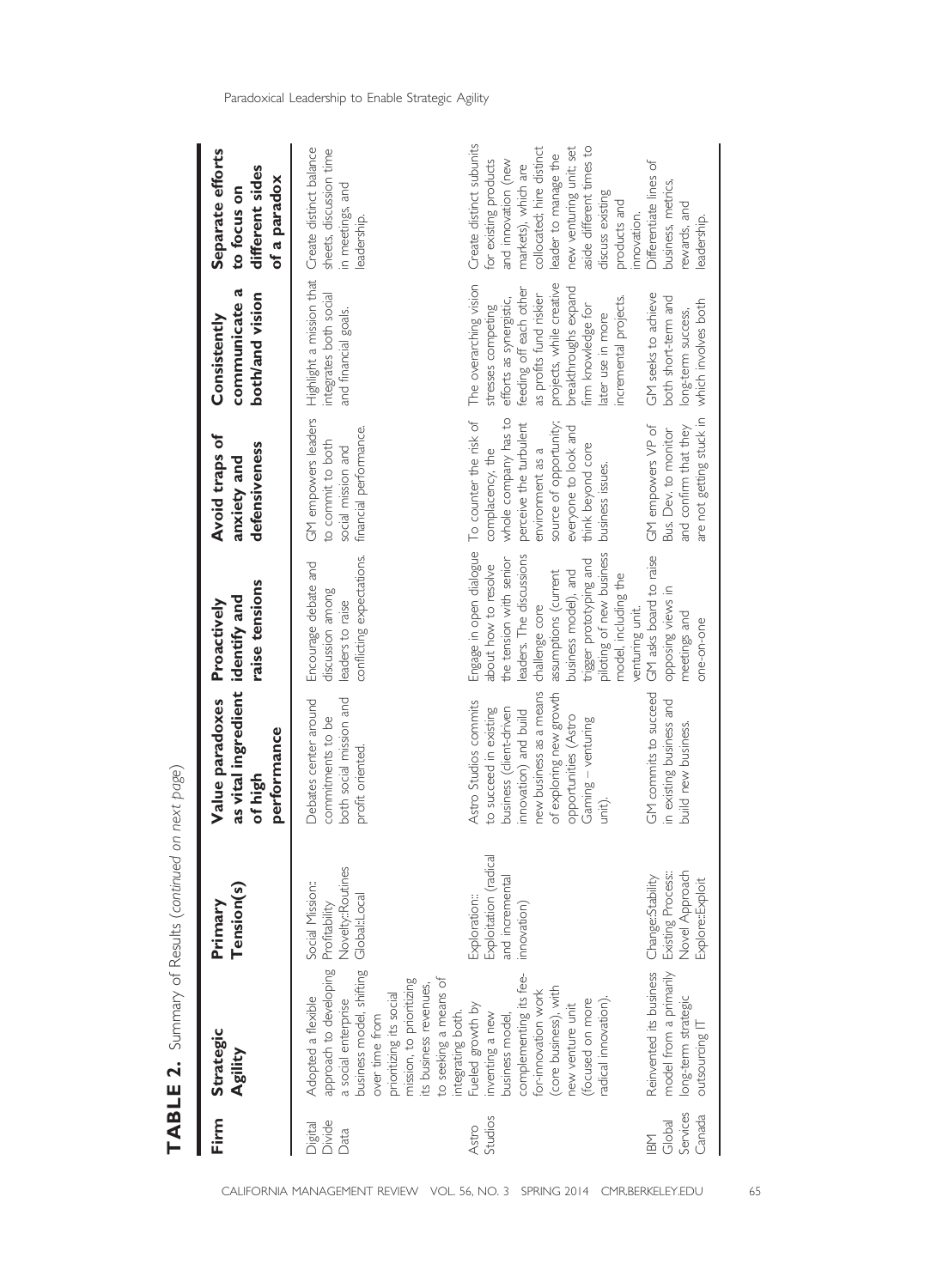| Firm                                | Strategic<br>Agility                                                                                                                                                                                                                             | Tension(s)<br>Primary                                                         | as vital ingredient identify and<br>Value paradoxes<br>performance<br>of high                                                                                                                                    | raise tensions<br>Proactively                                                                                                                                                                                                                                             | Avoid traps of<br>defensiveness<br>anxiety and                                                                                                                                                              | communicate a<br>both/and vision<br>Consistently                                                                                                                                                                                                     | Separate efforts<br>different sides<br>of a paradox<br>to focus on                                                                                                                                                                                            |
|-------------------------------------|--------------------------------------------------------------------------------------------------------------------------------------------------------------------------------------------------------------------------------------------------|-------------------------------------------------------------------------------|------------------------------------------------------------------------------------------------------------------------------------------------------------------------------------------------------------------|---------------------------------------------------------------------------------------------------------------------------------------------------------------------------------------------------------------------------------------------------------------------------|-------------------------------------------------------------------------------------------------------------------------------------------------------------------------------------------------------------|------------------------------------------------------------------------------------------------------------------------------------------------------------------------------------------------------------------------------------------------------|---------------------------------------------------------------------------------------------------------------------------------------------------------------------------------------------------------------------------------------------------------------|
| Divide<br>Digital<br>Data           | approach to developing<br>business model, shifting<br>to seeking a means of<br>integrating both.<br>mission, to prioritizing<br>its business revenues,<br>prioritizing its social<br>Adopted a flexible<br>a social enterprise<br>over time from | Novelty::Routines<br>Social Mission::<br>Global:Local<br>Profitability        | both social mission and<br>Debates center around<br>commitments to be<br>profit oriented.                                                                                                                        | conflicting expectations.<br>Encourage debate and<br>discussion among<br>leaders to raise                                                                                                                                                                                 | GM empowers leaders<br>financial performance.<br>to commit to both<br>social mission and                                                                                                                    | Highlight a mission that<br>integrates both social<br>and financial goals.                                                                                                                                                                           | Create distinct balance<br>sheets, discussion time<br>in meetings, and<br>leadership.                                                                                                                                                                         |
| Studios<br>Astro                    | complementing its fee-<br>(core business), with<br>for-innovation work<br>adical innovation).<br>(focused on more<br>Fueled growth by<br>new venture unit<br>inventing a new<br>business model                                                   | लु<br>Exploitation (radi<br>and incremental<br>Exploration::<br>innovation)   | new business as a means<br>of exploring new growth<br>Astro Studios commits<br>to succeed in existing<br>business (client-driven<br>innovation) and build<br>opportunities (Astro<br>Gaming - venturing<br>unit) | Engage in open dialogue<br>piloting of new business<br>eaders. The discussions<br>the tension with senior<br>trigger prototyping and<br>about how to resolve<br>business model), and<br>assumptions (current<br>model, including the<br>challenge core<br>venturing unit. | whole company has to<br>To counter the risk of<br>perceive the turbulent<br>source of opportunity;<br>everyone to look and<br>think beyond core<br>complacency, the<br>environment as a<br>business issues. | The overarching vision<br>projects, while creative<br>breakthroughs expand<br>feeding off each other<br>as profits fund riskier<br>incremental projects.<br>efforts as synergistic,<br>stresses competing<br>firm knowledge for<br>later use in more | Create distinct subunits<br>collocated; hire distinct<br>aside different times to<br>new venturing unit; set<br>leader to manage the<br>and innovation (new<br>for existing products<br>markets), which are<br>discuss existing<br>products and<br>nnovation. |
| Services<br>Canada<br>Global<br>IBM | model from a primarily<br>Reinvented its business<br>long-term strategic<br>outsourcing IT                                                                                                                                                       | Novel Approach<br>Change::Stability<br>Existing Process::<br>Explore::Exploit | GM commits to succeed<br>in existing business and<br>build new business.                                                                                                                                         | GM asks board to raise<br>opposing views in<br>meetings and<br>one-on-one                                                                                                                                                                                                 | are not getting stuck in<br>GM empowers VP of<br>and confirm that they<br>Bus. Dev. to monitor                                                                                                              | GM seeks to achieve<br>both short-term and<br>which involves both<br>long-term success,                                                                                                                                                              | Differentiate lines of<br>business, metrics,<br>rewards, and<br>eadership.                                                                                                                                                                                    |

TABLE 2. Summary of Results (continued on next page) **TABLE 2.** Summary of Results (continued on next page)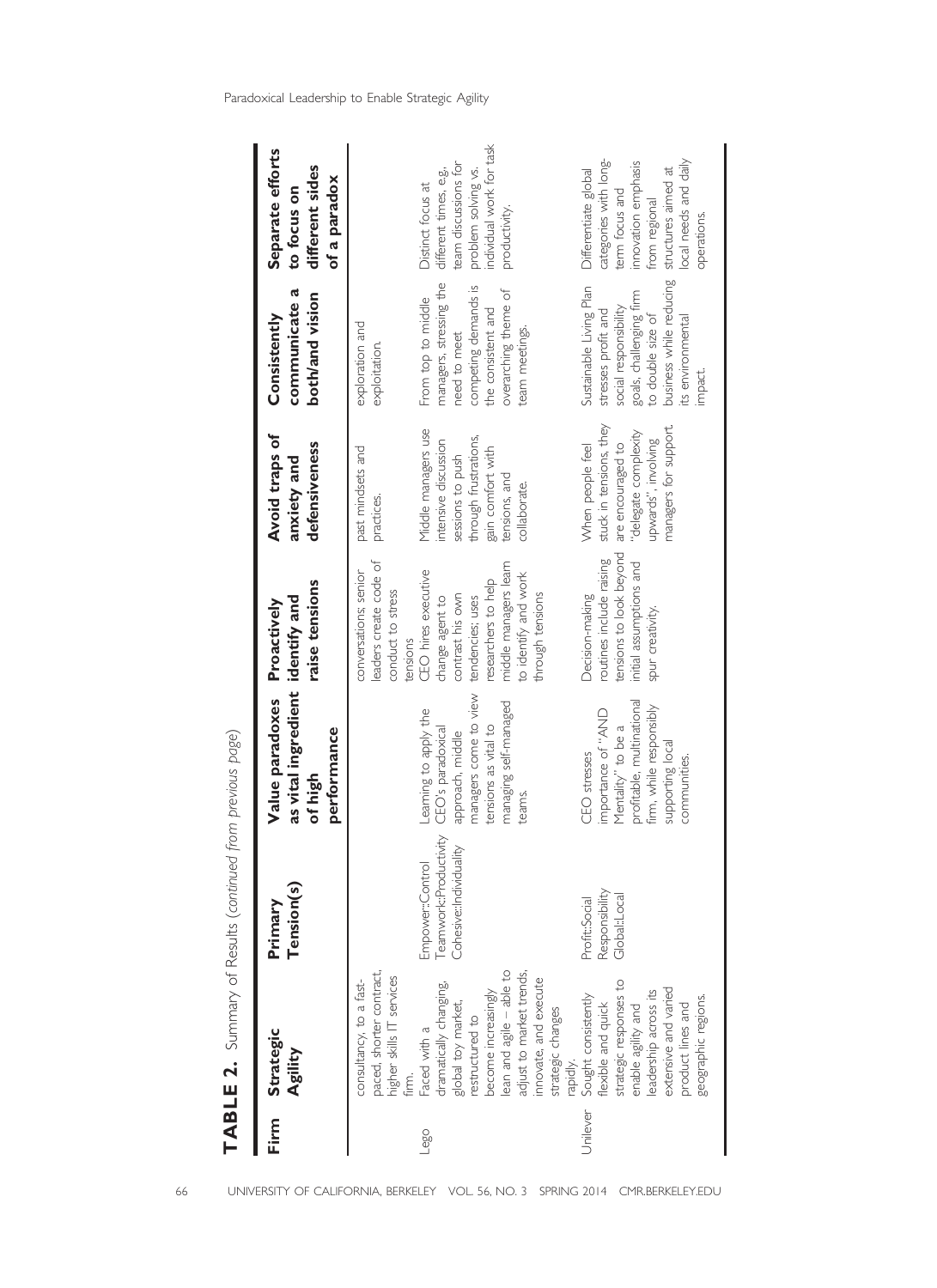| Firm     | Strategic<br>Agility                                                                                                                                                                                                                                                                | Tension(s)<br>Primary                                                | as vital ingredient identify and<br>Value paradoxes<br>performance<br>of high                                                                        | raise tensions<br>Proactively                                                                                                                                                                                                                                  | Avoid traps of<br>defensiveness<br>anxiety and                                                                                                                                    | communicate a<br>both/and vision<br>Consistently                                                                                                                                          | Separate efforts<br>different sides<br>of a paradox<br>to focus on                                                                                                     |
|----------|-------------------------------------------------------------------------------------------------------------------------------------------------------------------------------------------------------------------------------------------------------------------------------------|----------------------------------------------------------------------|------------------------------------------------------------------------------------------------------------------------------------------------------|----------------------------------------------------------------------------------------------------------------------------------------------------------------------------------------------------------------------------------------------------------------|-----------------------------------------------------------------------------------------------------------------------------------------------------------------------------------|-------------------------------------------------------------------------------------------------------------------------------------------------------------------------------------------|------------------------------------------------------------------------------------------------------------------------------------------------------------------------|
| Lego     | paced, shorter contract,<br>ean and agile - able to<br>adjust to market trends,<br>higher skills IT services<br>innovate, and execute<br>consultancy, to a fast-<br>dramatically changing,<br>become increasingly<br>global toy market,<br>restructured to<br>Faced with a<br>firm. | Teamwork::Productivity<br>Cohesive::Individuality<br>Empower:Control | managers come to view<br>managing self-managed<br>eaming to apply the<br>tensions as vital to<br>CEO's paradoxical<br>approach, middle<br>teams.     | leaders create code of<br>middle managers learn<br>conversations; senior<br>CEO hires executive<br>to identify and work<br>researchers to help<br>conduct to stress<br>contrast his own<br>through tensions<br>tendencies; uses<br>change agent to<br>tensions | Middle managers use<br>through frustrations,<br>intensive discussion<br>past mindsets and<br>gain comfort with<br>sessions to push<br>tensions, and<br>collaborate.<br>practices. | managers, stressing the<br>competing demands is<br>overarching theme of<br>From top to middle<br>the consistent and<br>exploration and<br>team meetings.<br>need to meet<br>exploitation. | problem solving vs.<br>individual work for task<br>team discussions for<br>different times, e.g.,<br>Distinct focus at<br>productivity.                                |
| Unilever | strategic responses to<br>extensive and varied<br>enable agility and<br>leadership across its<br>Sought consistently<br>geographic regions.<br>flexible and quick<br>product lines and<br>strategic changes<br>rapidly.                                                             | Responsibility<br>Global::Local<br>Profit::Social                    | profitable, multinational<br>firm, while responsibly<br>importance of "AND<br>Mentality" to be a<br>supporting local<br>CEO stresses<br>communities. | tensions to look beyond<br>routines include raising<br>initial assumptions and<br>Decision-making<br>spur creativity.                                                                                                                                          | stuck in tensions, they<br>managers for support.<br>are encouraged to<br>"delegate complexity<br>upwards", involving<br>When people feel                                          | business while reducing<br>Sustainable Living Plan<br>goals, challenging firm<br>to double size of<br>social responsibility<br>stresses profit and<br>its environmental<br>impact.        | categories with long-<br>local needs and daily<br>innovation emphasis<br>structures aimed at<br>Differentiate global<br>term focus and<br>from regional<br>operations. |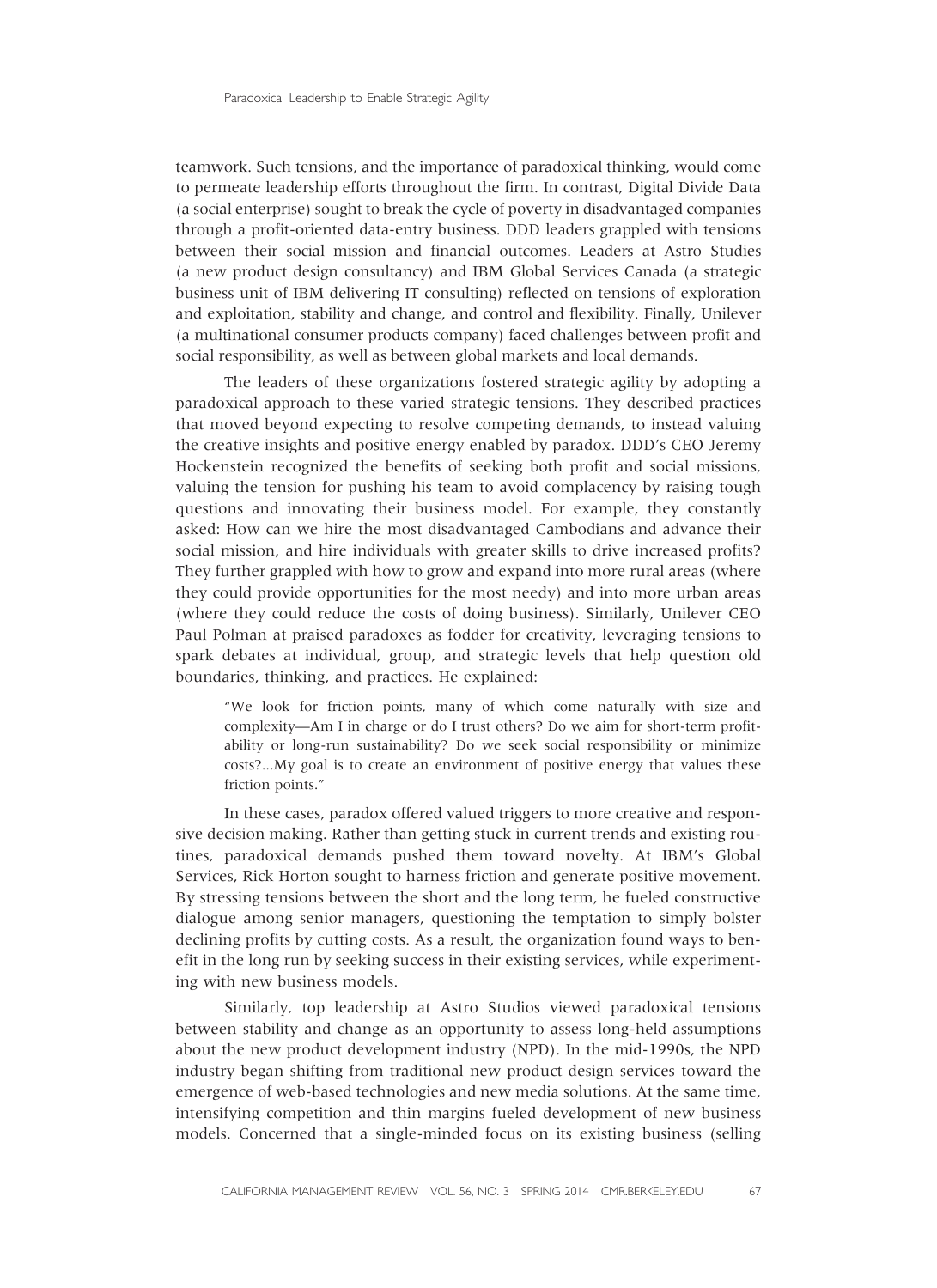teamwork. Such tensions, and the importance of paradoxical thinking, would come to permeate leadership efforts throughout the firm. In contrast, Digital Divide Data (a social enterprise) sought to break the cycle of poverty in disadvantaged companies through a profit-oriented data-entry business. DDD leaders grappled with tensions between their social mission and financial outcomes. Leaders at Astro Studies (a new product design consultancy) and IBM Global Services Canada (a strategic business unit of IBM delivering IT consulting) reflected on tensions of exploration and exploitation, stability and change, and control and flexibility. Finally, Unilever (a multinational consumer products company) faced challenges between profit and social responsibility, as well as between global markets and local demands.

The leaders of these organizations fostered strategic agility by adopting a paradoxical approach to these varied strategic tensions. They described practices that moved beyond expecting to resolve competing demands, to instead valuing the creative insights and positive energy enabled by paradox. DDD's CEO Jeremy Hockenstein recognized the benefits of seeking both profit and social missions, valuing the tension for pushing his team to avoid complacency by raising tough questions and innovating their business model. For example, they constantly asked: How can we hire the most disadvantaged Cambodians and advance their social mission, and hire individuals with greater skills to drive increased profits? They further grappled with how to grow and expand into more rural areas (where they could provide opportunities for the most needy) and into more urban areas (where they could reduce the costs of doing business). Similarly, Unilever CEO Paul Polman at praised paradoxes as fodder for creativity, leveraging tensions to spark debates at individual, group, and strategic levels that help question old boundaries, thinking, and practices. He explained:

"We look for friction points, many of which come naturally with size and complexity—Am I in charge or do I trust others? Do we aim for short-term profitability or long-run sustainability? Do we seek social responsibility or minimize costs?...My goal is to create an environment of positive energy that values these friction points."

In these cases, paradox offered valued triggers to more creative and responsive decision making. Rather than getting stuck in current trends and existing routines, paradoxical demands pushed them toward novelty. At IBM's Global Services, Rick Horton sought to harness friction and generate positive movement. By stressing tensions between the short and the long term, he fueled constructive dialogue among senior managers, questioning the temptation to simply bolster declining profits by cutting costs. As a result, the organization found ways to benefit in the long run by seeking success in their existing services, while experimenting with new business models.

Similarly, top leadership at Astro Studios viewed paradoxical tensions between stability and change as an opportunity to assess long-held assumptions about the new product development industry (NPD). In the mid-1990s, the NPD industry began shifting from traditional new product design services toward the emergence of web-based technologies and new media solutions. At the same time, intensifying competition and thin margins fueled development of new business models. Concerned that a single-minded focus on its existing business (selling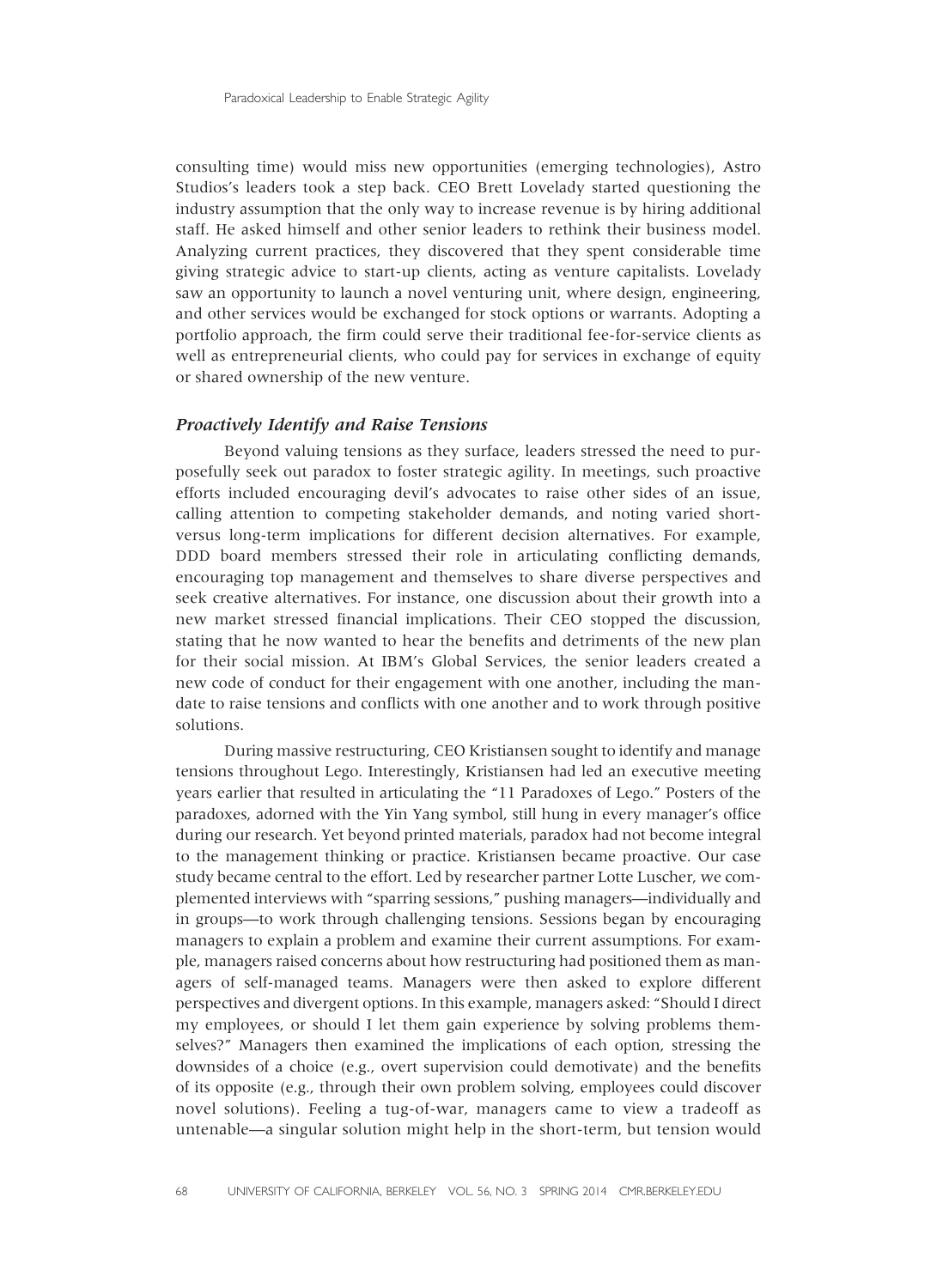consulting time) would miss new opportunities (emerging technologies), Astro Studios's leaders took a step back. CEO Brett Lovelady started questioning the industry assumption that the only way to increase revenue is by hiring additional staff. He asked himself and other senior leaders to rethink their business model. Analyzing current practices, they discovered that they spent considerable time giving strategic advice to start-up clients, acting as venture capitalists. Lovelady saw an opportunity to launch a novel venturing unit, where design, engineering, and other services would be exchanged for stock options or warrants. Adopting a portfolio approach, the firm could serve their traditional fee-for-service clients as well as entrepreneurial clients, who could pay for services in exchange of equity or shared ownership of the new venture.

#### Proactively Identify and Raise Tensions

Beyond valuing tensions as they surface, leaders stressed the need to purposefully seek out paradox to foster strategic agility. In meetings, such proactive efforts included encouraging devil's advocates to raise other sides of an issue, calling attention to competing stakeholder demands, and noting varied shortversus long-term implications for different decision alternatives. For example, DDD board members stressed their role in articulating conflicting demands, encouraging top management and themselves to share diverse perspectives and seek creative alternatives. For instance, one discussion about their growth into a new market stressed financial implications. Their CEO stopped the discussion, stating that he now wanted to hear the benefits and detriments of the new plan for their social mission. At IBM's Global Services, the senior leaders created a new code of conduct for their engagement with one another, including the mandate to raise tensions and conflicts with one another and to work through positive solutions.

During massive restructuring, CEO Kristiansen sought to identify and manage tensions throughout Lego. Interestingly, Kristiansen had led an executive meeting years earlier that resulted in articulating the "11 Paradoxes of Lego." Posters of the paradoxes, adorned with the Yin Yang symbol, still hung in every manager's office during our research. Yet beyond printed materials, paradox had not become integral to the management thinking or practice. Kristiansen became proactive. Our case study became central to the effort. Led by researcher partner Lotte Luscher, we complemented interviews with "sparring sessions," pushing managers—individually and in groups—to work through challenging tensions. Sessions began by encouraging managers to explain a problem and examine their current assumptions. For example, managers raised concerns about how restructuring had positioned them as managers of self-managed teams. Managers were then asked to explore different perspectives and divergent options. In this example, managers asked: "Should I direct my employees, or should I let them gain experience by solving problems themselves?" Managers then examined the implications of each option, stressing the downsides of a choice (e.g., overt supervision could demotivate) and the benefits of its opposite (e.g., through their own problem solving, employees could discover novel solutions). Feeling a tug-of-war, managers came to view a tradeoff as untenable—a singular solution might help in the short-term, but tension would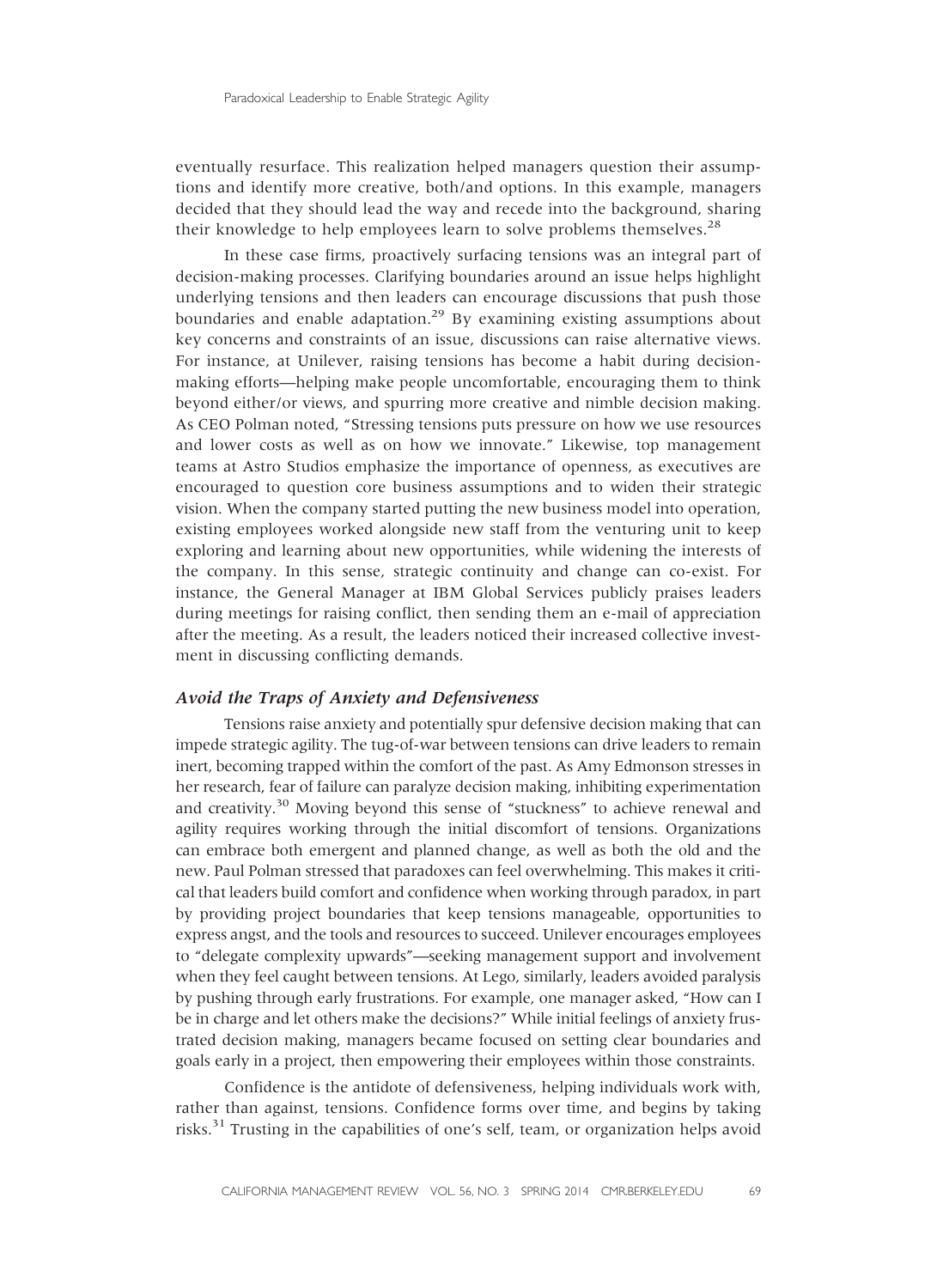eventually resurface. This realization helped managers question their assumptions and identify more creative, both/and options. In this example, managers decided that they should lead the way and recede into the background, sharing their knowledge to help employees learn to solve problems themselves.<sup>28</sup>

In these case firms, proactively surfacing tensions was an integral part of decision-making processes. Clarifying boundaries around an issue helps highlight underlying tensions and then leaders can encourage discussions that push those boundaries and enable adaptation.<sup>29</sup> By examining existing assumptions about key concerns and constraints of an issue, discussions can raise alternative views. For instance, at Unilever, raising tensions has become a habit during decisionmaking efforts—helping make people uncomfortable, encouraging them to think beyond either/or views, and spurring more creative and nimble decision making. As CEO Polman noted, "Stressing tensions puts pressure on how we use resources and lower costs as well as on how we innovate." Likewise, top management teams at Astro Studios emphasize the importance of openness, as executives are encouraged to question core business assumptions and to widen their strategic vision. When the company started putting the new business model into operation, existing employees worked alongside new staff from the venturing unit to keep exploring and learning about new opportunities, while widening the interests of the company. In this sense, strategic continuity and change can co-exist. For instance, the General Manager at IBM Global Services publicly praises leaders during meetings for raising conflict, then sending them an e-mail of appreciation after the meeting. As a result, the leaders noticed their increased collective investment in discussing conflicting demands.

#### Avoid the Traps of Anxiety and Defensiveness

Tensions raise anxiety and potentially spur defensive decision making that can impede strategic agility. The tug-of-war between tensions can drive leaders to remain inert, becoming trapped within the comfort of the past. As Amy Edmonson stresses in her research, fear of failure can paralyze decision making, inhibiting experimentation and creativity.<sup>30</sup> Moving beyond this sense of "stuckness" to achieve renewal and agility requires working through the initial discomfort of tensions. Organizations can embrace both emergent and planned change, as well as both the old and the new. Paul Polman stressed that paradoxes can feel overwhelming. This makes it critical that leaders build comfort and confidence when working through paradox, in part by providing project boundaries that keep tensions manageable, opportunities to express angst, and the tools and resources to succeed. Unilever encourages employees to "delegate complexity upwards"—seeking management support and involvement when they feel caught between tensions. At Lego, similarly, leaders avoided paralysis by pushing through early frustrations. For example, one manager asked, "How can I be in charge and let others make the decisions?" While initial feelings of anxiety frustrated decision making, managers became focused on setting clear boundaries and goals early in a project, then empowering their employees within those constraints.

Confidence is the antidote of defensiveness, helping individuals work with, rather than against, tensions. Confidence forms over time, and begins by taking risks.<sup>31</sup> Trusting in the capabilities of one's self, team, or organization helps avoid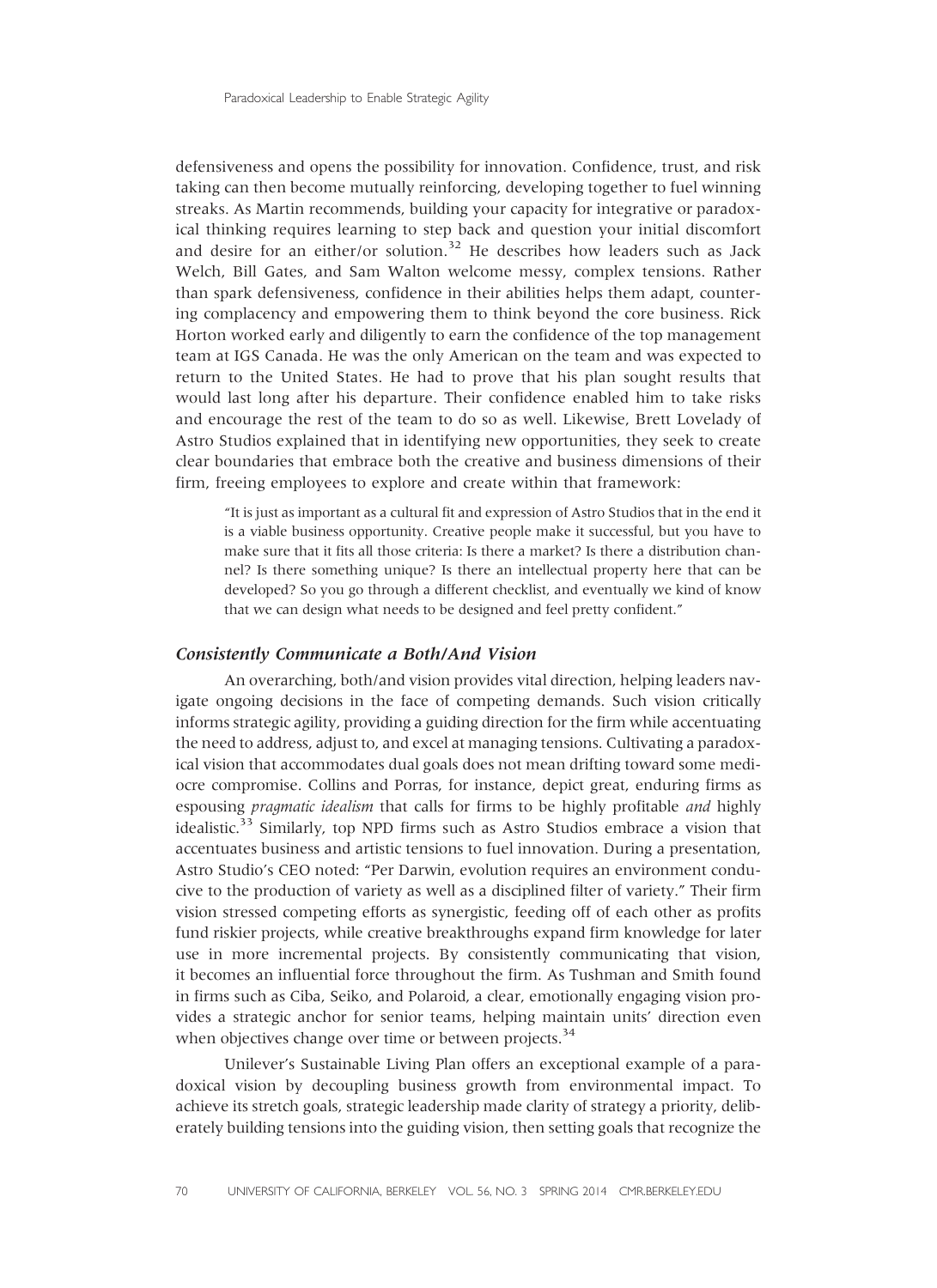defensiveness and opens the possibility for innovation. Confidence, trust, and risk taking can then become mutually reinforcing, developing together to fuel winning streaks. As Martin recommends, building your capacity for integrative or paradoxical thinking requires learning to step back and question your initial discomfort and desire for an either/or solution.<sup>32</sup> He describes how leaders such as Jack Welch, Bill Gates, and Sam Walton welcome messy, complex tensions. Rather than spark defensiveness, confidence in their abilities helps them adapt, countering complacency and empowering them to think beyond the core business. Rick Horton worked early and diligently to earn the confidence of the top management team at IGS Canada. He was the only American on the team and was expected to return to the United States. He had to prove that his plan sought results that would last long after his departure. Their confidence enabled him to take risks and encourage the rest of the team to do so as well. Likewise, Brett Lovelady of Astro Studios explained that in identifying new opportunities, they seek to create clear boundaries that embrace both the creative and business dimensions of their firm, freeing employees to explore and create within that framework:

"It is just as important as a cultural fit and expression of Astro Studios that in the end it is a viable business opportunity. Creative people make it successful, but you have to make sure that it fits all those criteria: Is there a market? Is there a distribution channel? Is there something unique? Is there an intellectual property here that can be developed? So you go through a different checklist, and eventually we kind of know that we can design what needs to be designed and feel pretty confident."

#### Consistently Communicate a Both/And Vision

An overarching, both/and vision provides vital direction, helping leaders navigate ongoing decisions in the face of competing demands. Such vision critically informs strategic agility, providing a guiding direction for the firm while accentuating the need to address, adjust to, and excel at managing tensions. Cultivating a paradoxical vision that accommodates dual goals does not mean drifting toward some mediocre compromise. Collins and Porras, for instance, depict great, enduring firms as espousing pragmatic idealism that calls for firms to be highly profitable and highly idealistic.<sup>33</sup> Similarly, top NPD firms such as Astro Studios embrace a vision that accentuates business and artistic tensions to fuel innovation. During a presentation, Astro Studio's CEO noted: "Per Darwin, evolution requires an environment conducive to the production of variety as well as a disciplined filter of variety." Their firm vision stressed competing efforts as synergistic, feeding off of each other as profits fund riskier projects, while creative breakthroughs expand firm knowledge for later use in more incremental projects. By consistently communicating that vision, it becomes an influential force throughout the firm. As Tushman and Smith found in firms such as Ciba, Seiko, and Polaroid, a clear, emotionally engaging vision provides a strategic anchor for senior teams, helping maintain units' direction even when objectives change over time or between projects.<sup>34</sup>

Unilever's Sustainable Living Plan offers an exceptional example of a paradoxical vision by decoupling business growth from environmental impact. To achieve its stretch goals, strategic leadership made clarity of strategy a priority, deliberately building tensions into the guiding vision, then setting goals that recognize the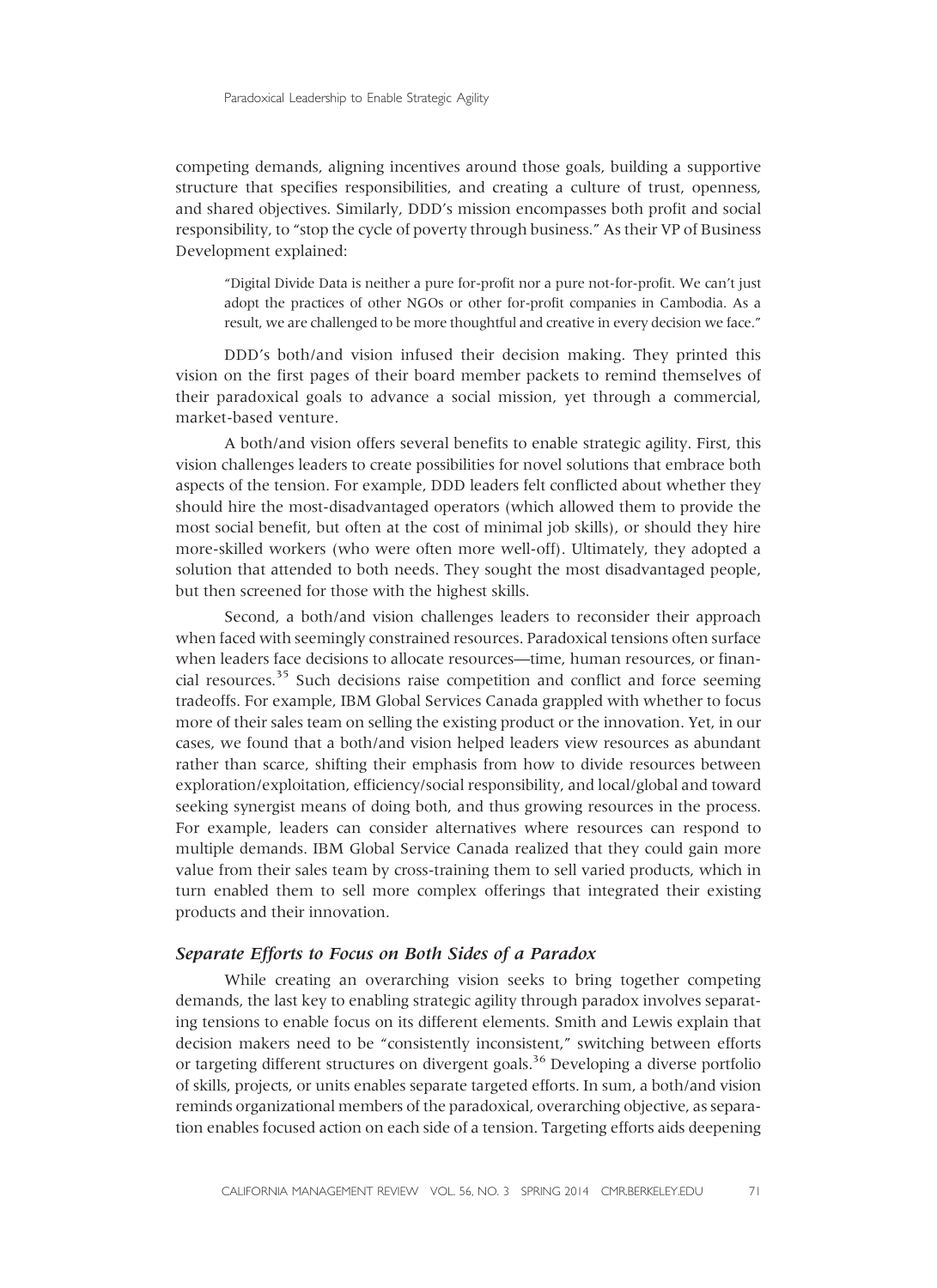competing demands, aligning incentives around those goals, building a supportive structure that specifies responsibilities, and creating a culture of trust, openness, and shared objectives. Similarly, DDD's mission encompasses both profit and social responsibility, to "stop the cycle of poverty through business." As their VP of Business Development explained:

"Digital Divide Data is neither a pure for-profit nor a pure not-for-profit. We can't just adopt the practices of other NGOs or other for-profit companies in Cambodia. As a result, we are challenged to be more thoughtful and creative in every decision we face."

DDD's both/and vision infused their decision making. They printed this vision on the first pages of their board member packets to remind themselves of their paradoxical goals to advance a social mission, yet through a commercial, market-based venture.

A both/and vision offers several benefits to enable strategic agility. First, this vision challenges leaders to create possibilities for novel solutions that embrace both aspects of the tension. For example, DDD leaders felt conflicted about whether they should hire the most-disadvantaged operators (which allowed them to provide the most social benefit, but often at the cost of minimal job skills), or should they hire more-skilled workers (who were often more well-off). Ultimately, they adopted a solution that attended to both needs. They sought the most disadvantaged people, but then screened for those with the highest skills.

Second, a both/and vision challenges leaders to reconsider their approach when faced with seemingly constrained resources. Paradoxical tensions often surface when leaders face decisions to allocate resources—time, human resources, or financial resources.<sup>35</sup> Such decisions raise competition and conflict and force seeming tradeoffs. For example, IBM Global Services Canada grappled with whether to focus more of their sales team on selling the existing product or the innovation. Yet, in our cases, we found that a both/and vision helped leaders view resources as abundant rather than scarce, shifting their emphasis from how to divide resources between exploration/exploitation, efficiency/social responsibility, and local/global and toward seeking synergist means of doing both, and thus growing resources in the process. For example, leaders can consider alternatives where resources can respond to multiple demands. IBM Global Service Canada realized that they could gain more value from their sales team by cross-training them to sell varied products, which in turn enabled them to sell more complex offerings that integrated their existing products and their innovation.

#### Separate Efforts to Focus on Both Sides of a Paradox

While creating an overarching vision seeks to bring together competing demands, the last key to enabling strategic agility through paradox involves separating tensions to enable focus on its different elements. Smith and Lewis explain that decision makers need to be "consistently inconsistent," switching between efforts or targeting different structures on divergent goals.<sup>36</sup> Developing a diverse portfolio of skills, projects, or units enables separate targeted efforts. In sum, a both/and vision reminds organizational members of the paradoxical, overarching objective, as separation enables focused action on each side of a tension. Targeting efforts aids deepening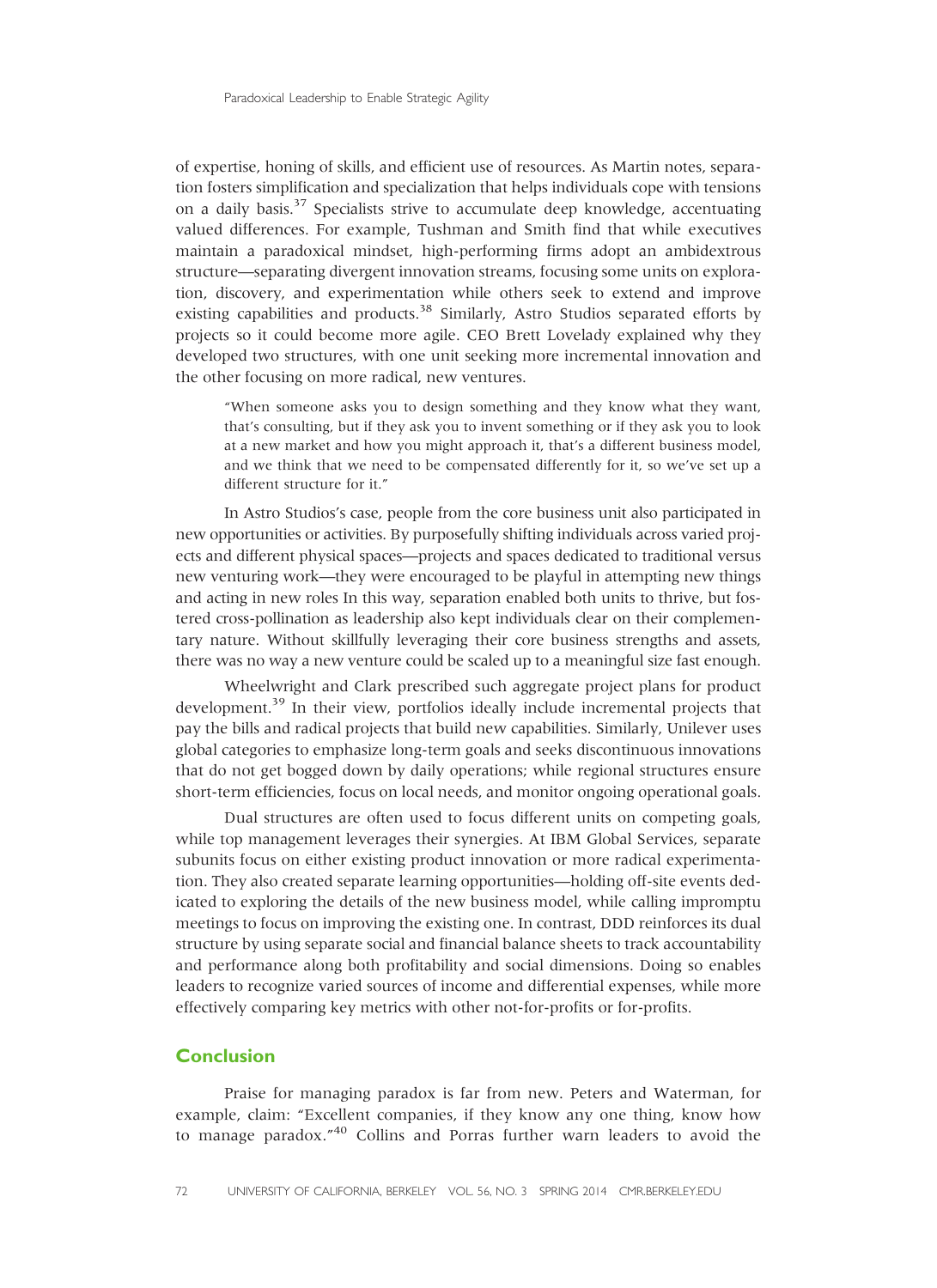of expertise, honing of skills, and efficient use of resources. As Martin notes, separation fosters simplification and specialization that helps individuals cope with tensions on a daily basis.<sup>37</sup> Specialists strive to accumulate deep knowledge, accentuating valued differences. For example, Tushman and Smith find that while executives maintain a paradoxical mindset, high-performing firms adopt an ambidextrous structure—separating divergent innovation streams, focusing some units on exploration, discovery, and experimentation while others seek to extend and improve existing capabilities and products.<sup>38</sup> Similarly, Astro Studios separated efforts by projects so it could become more agile. CEO Brett Lovelady explained why they developed two structures, with one unit seeking more incremental innovation and the other focusing on more radical, new ventures.

"When someone asks you to design something and they know what they want, that's consulting, but if they ask you to invent something or if they ask you to look at a new market and how you might approach it, that's a different business model, and we think that we need to be compensated differently for it, so we've set up a different structure for it."

In Astro Studios's case, people from the core business unit also participated in new opportunities or activities. By purposefully shifting individuals across varied projects and different physical spaces—projects and spaces dedicated to traditional versus new venturing work—they were encouraged to be playful in attempting new things and acting in new roles In this way, separation enabled both units to thrive, but fostered cross-pollination as leadership also kept individuals clear on their complementary nature. Without skillfully leveraging their core business strengths and assets, there was no way a new venture could be scaled up to a meaningful size fast enough.

Wheelwright and Clark prescribed such aggregate project plans for product development.<sup>39</sup> In their view, portfolios ideally include incremental projects that pay the bills and radical projects that build new capabilities. Similarly, Unilever uses global categories to emphasize long-term goals and seeks discontinuous innovations that do not get bogged down by daily operations; while regional structures ensure short-term efficiencies, focus on local needs, and monitor ongoing operational goals.

Dual structures are often used to focus different units on competing goals, while top management leverages their synergies. At IBM Global Services, separate subunits focus on either existing product innovation or more radical experimentation. They also created separate learning opportunities—holding off-site events dedicated to exploring the details of the new business model, while calling impromptu meetings to focus on improving the existing one. In contrast, DDD reinforces its dual structure by using separate social and financial balance sheets to track accountability and performance along both profitability and social dimensions. Doing so enables leaders to recognize varied sources of income and differential expenses, while more effectively comparing key metrics with other not-for-profits or for-profits.

#### **Conclusion**

Praise for managing paradox is far from new. Peters and Waterman, for example, claim: "Excellent companies, if they know any one thing, know how to manage paradox." <sup>40</sup> Collins and Porras further warn leaders to avoid the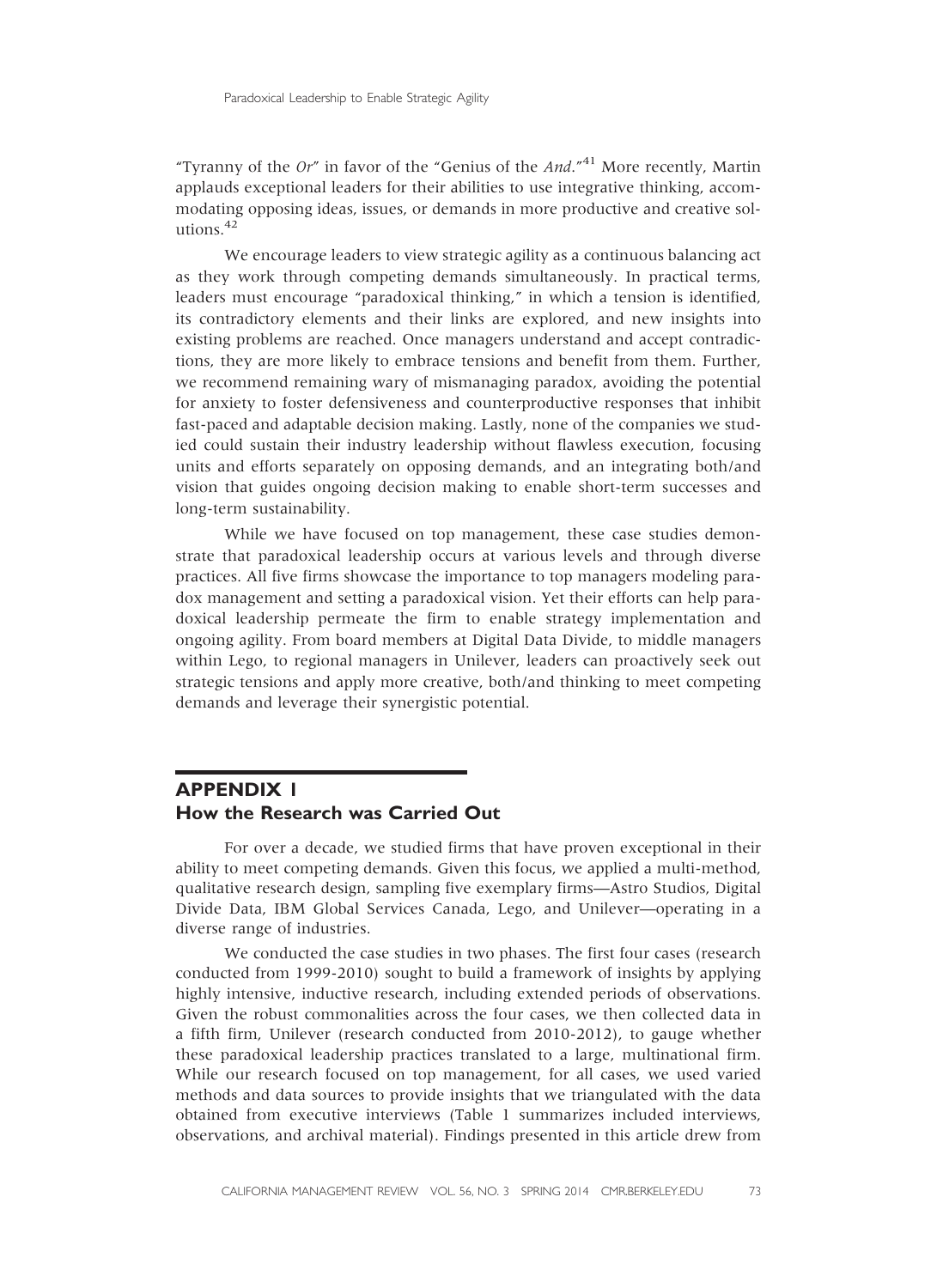"Tyranny of the Or" in favor of the "Genius of the And."<sup>41</sup> More recently, Martin applauds exceptional leaders for their abilities to use integrative thinking, accommodating opposing ideas, issues, or demands in more productive and creative solutions.<sup>42</sup>

We encourage leaders to view strategic agility as a continuous balancing act as they work through competing demands simultaneously. In practical terms, leaders must encourage "paradoxical thinking," in which a tension is identified, its contradictory elements and their links are explored, and new insights into existing problems are reached. Once managers understand and accept contradictions, they are more likely to embrace tensions and benefit from them. Further, we recommend remaining wary of mismanaging paradox, avoiding the potential for anxiety to foster defensiveness and counterproductive responses that inhibit fast-paced and adaptable decision making. Lastly, none of the companies we studied could sustain their industry leadership without flawless execution, focusing units and efforts separately on opposing demands, and an integrating both/and vision that guides ongoing decision making to enable short-term successes and long-term sustainability.

While we have focused on top management, these case studies demonstrate that paradoxical leadership occurs at various levels and through diverse practices. All five firms showcase the importance to top managers modeling paradox management and setting a paradoxical vision. Yet their efforts can help paradoxical leadership permeate the firm to enable strategy implementation and ongoing agility. From board members at Digital Data Divide, to middle managers within Lego, to regional managers in Unilever, leaders can proactively seek out strategic tensions and apply more creative, both/and thinking to meet competing demands and leverage their synergistic potential.

## APPENDIX 1 How the Research was Carried Out

For over a decade, we studied firms that have proven exceptional in their ability to meet competing demands. Given this focus, we applied a multi-method, qualitative research design, sampling five exemplary firms—Astro Studios, Digital Divide Data, IBM Global Services Canada, Lego, and Unilever—operating in a diverse range of industries.

We conducted the case studies in two phases. The first four cases (research conducted from 1999-2010) sought to build a framework of insights by applying highly intensive, inductive research, including extended periods of observations. Given the robust commonalities across the four cases, we then collected data in a fifth firm, Unilever (research conducted from 2010-2012), to gauge whether these paradoxical leadership practices translated to a large, multinational firm. While our research focused on top management, for all cases, we used varied methods and data sources to provide insights that we triangulated with the data obtained from executive interviews (Table 1 summarizes included interviews, observations, and archival material). Findings presented in this article drew from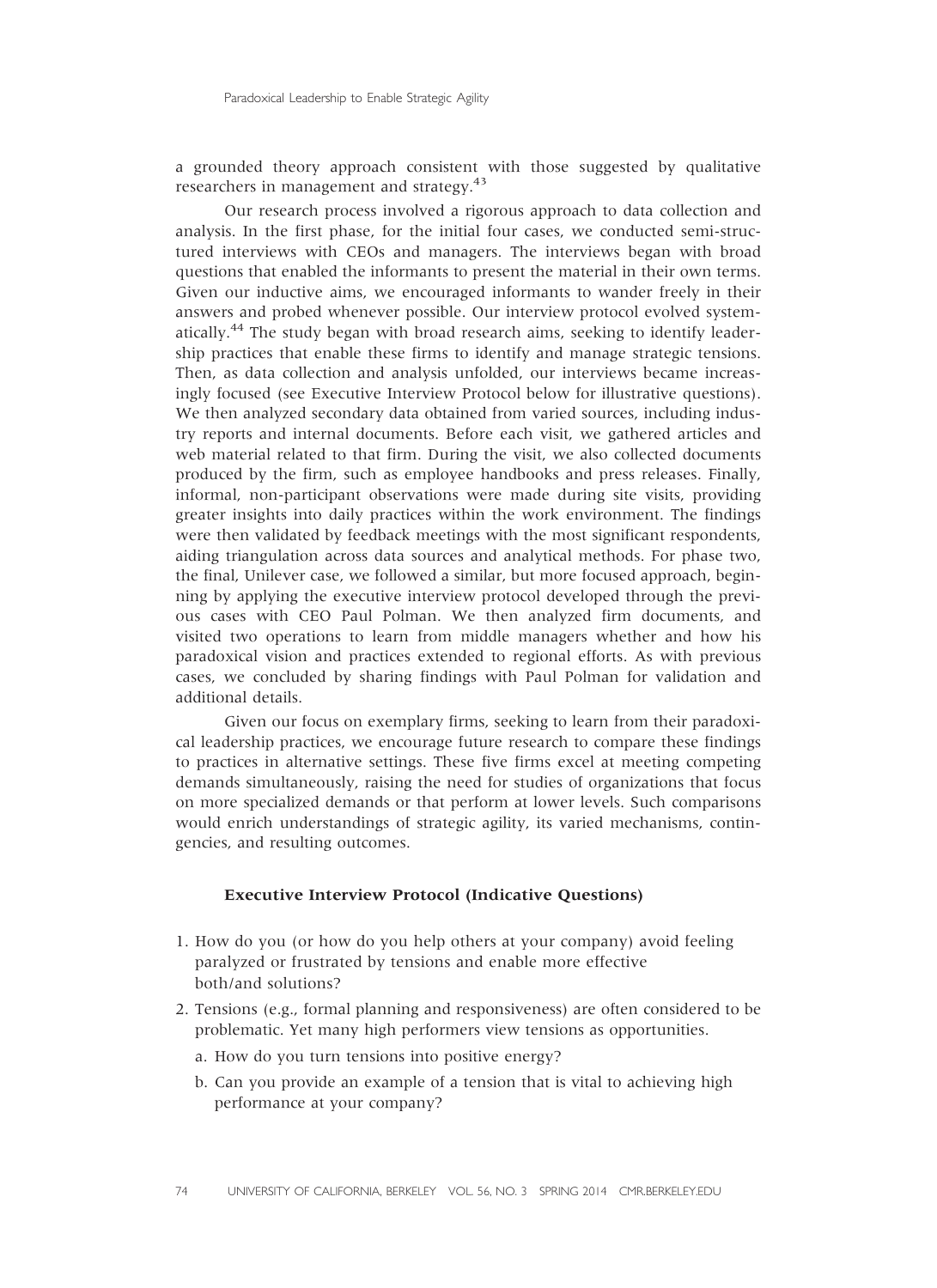a grounded theory approach consistent with those suggested by qualitative researchers in management and strategy.<sup>43</sup>

Our research process involved a rigorous approach to data collection and analysis. In the first phase, for the initial four cases, we conducted semi-structured interviews with CEOs and managers. The interviews began with broad questions that enabled the informants to present the material in their own terms. Given our inductive aims, we encouraged informants to wander freely in their answers and probed whenever possible. Our interview protocol evolved systematically.<sup>44</sup> The study began with broad research aims, seeking to identify leadership practices that enable these firms to identify and manage strategic tensions. Then, as data collection and analysis unfolded, our interviews became increasingly focused (see Executive Interview Protocol below for illustrative questions). We then analyzed secondary data obtained from varied sources, including industry reports and internal documents. Before each visit, we gathered articles and web material related to that firm. During the visit, we also collected documents produced by the firm, such as employee handbooks and press releases. Finally, informal, non-participant observations were made during site visits, providing greater insights into daily practices within the work environment. The findings were then validated by feedback meetings with the most significant respondents, aiding triangulation across data sources and analytical methods. For phase two, the final, Unilever case, we followed a similar, but more focused approach, beginning by applying the executive interview protocol developed through the previous cases with CEO Paul Polman. We then analyzed firm documents, and visited two operations to learn from middle managers whether and how his paradoxical vision and practices extended to regional efforts. As with previous cases, we concluded by sharing findings with Paul Polman for validation and additional details.

Given our focus on exemplary firms, seeking to learn from their paradoxical leadership practices, we encourage future research to compare these findings to practices in alternative settings. These five firms excel at meeting competing demands simultaneously, raising the need for studies of organizations that focus on more specialized demands or that perform at lower levels. Such comparisons would enrich understandings of strategic agility, its varied mechanisms, contingencies, and resulting outcomes.

#### Executive Interview Protocol (Indicative Questions)

- 1. How do you (or how do you help others at your company) avoid feeling paralyzed or frustrated by tensions and enable more effective both/and solutions?
- 2. Tensions (e.g., formal planning and responsiveness) are often considered to be problematic. Yet many high performers view tensions as opportunities.
	- a. How do you turn tensions into positive energy?
	- b. Can you provide an example of a tension that is vital to achieving high performance at your company?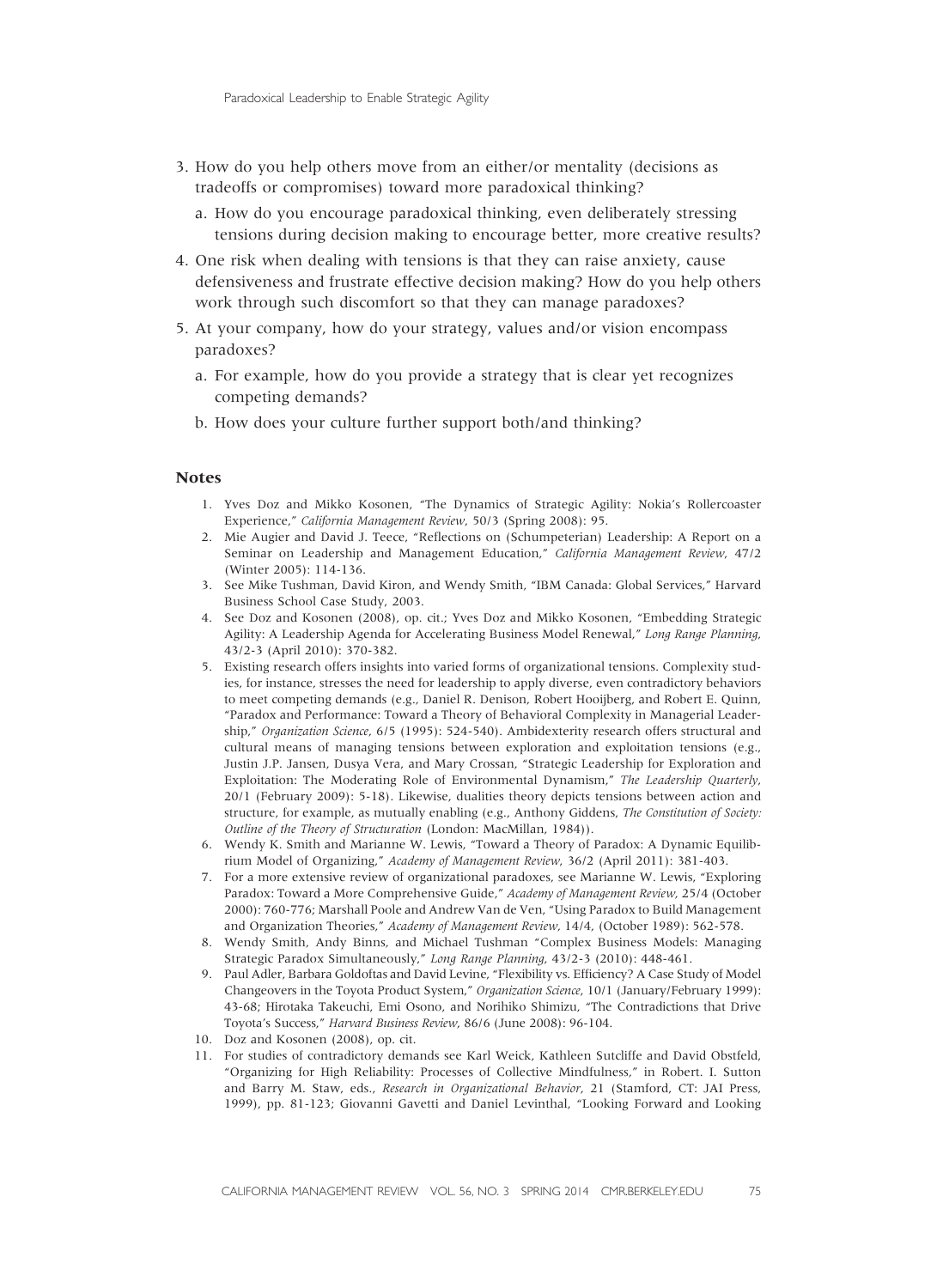- 3. How do you help others move from an either/or mentality (decisions as tradeoffs or compromises) toward more paradoxical thinking?
	- a. How do you encourage paradoxical thinking, even deliberately stressing tensions during decision making to encourage better, more creative results?
- 4. One risk when dealing with tensions is that they can raise anxiety, cause defensiveness and frustrate effective decision making? How do you help others work through such discomfort so that they can manage paradoxes?
- 5. At your company, how do your strategy, values and/or vision encompass paradoxes?
	- a. For example, how do you provide a strategy that is clear yet recognizes competing demands?
	- b. How does your culture further support both/and thinking?

#### **Notes**

- 1. Yves Doz and Mikko Kosonen, "The Dynamics of Strategic Agility: Nokia's Rollercoaster Experience," California Management Review, 50/3 (Spring 2008): 95.
- 2. Mie Augier and David J. Teece, "Reflections on (Schumpeterian) Leadership: A Report on a Seminar on Leadership and Management Education," California Management Review, 47/2 (Winter 2005): 114-136.
- 3. See Mike Tushman, David Kiron, and Wendy Smith, "IBM Canada: Global Services," Harvard Business School Case Study, 2003.
- 4. See Doz and Kosonen (2008), op. cit.; Yves Doz and Mikko Kosonen, "Embedding Strategic Agility: A Leadership Agenda for Accelerating Business Model Renewal," Long Range Planning, 43/2-3 (April 2010): 370-382.
- 5. Existing research offers insights into varied forms of organizational tensions. Complexity studies, for instance, stresses the need for leadership to apply diverse, even contradictory behaviors to meet competing demands (e.g., Daniel R. Denison, Robert Hooijberg, and Robert E. Quinn, "Paradox and Performance: Toward a Theory of Behavioral Complexity in Managerial Leadership," Organization Science, 6/5 (1995): 524-540). Ambidexterity research offers structural and cultural means of managing tensions between exploration and exploitation tensions (e.g., Justin J.P. Jansen, Dusya Vera, and Mary Crossan, "Strategic Leadership for Exploration and Exploitation: The Moderating Role of Environmental Dynamism," The Leadership Quarterly, 20/1 (February 2009): 5-18). Likewise, dualities theory depicts tensions between action and structure, for example, as mutually enabling (e.g., Anthony Giddens, The Constitution of Society: Outline of the Theory of Structuration (London: MacMillan, 1984)).
- 6. Wendy K. Smith and Marianne W. Lewis, "Toward a Theory of Paradox: A Dynamic Equilibrium Model of Organizing," Academy of Management Review, 36/2 (April 2011): 381-403.
- 7. For a more extensive review of organizational paradoxes, see Marianne W. Lewis, "Exploring Paradox: Toward a More Comprehensive Guide," Academy of Management Review, 25/4 (October 2000): 760-776; Marshall Poole and Andrew Van de Ven, "Using Paradox to Build Management and Organization Theories," Academy of Management Review, 14/4, (October 1989): 562-578.
- 8. Wendy Smith, Andy Binns, and Michael Tushman "Complex Business Models: Managing Strategic Paradox Simultaneously," Long Range Planning, 43/2-3 (2010): 448-461.
- 9. Paul Adler, Barbara Goldoftas and David Levine, "Flexibility vs. Efficiency? A Case Study of Model Changeovers in the Toyota Product System," Organization Science, 10/1 (January/February 1999): 43-68; Hirotaka Takeuchi, Emi Osono, and Norihiko Shimizu, "The Contradictions that Drive Toyota's Success," Harvard Business Review, 86/6 (June 2008): 96-104.
- 10. Doz and Kosonen (2008), op. cit.
- 11. For studies of contradictory demands see Karl Weick, Kathleen Sutcliffe and David Obstfeld, "Organizing for High Reliability: Processes of Collective Mindfulness," in Robert. I. Sutton and Barry M. Staw, eds., Research in Organizational Behavior, 21 (Stamford, CT: JAI Press, 1999), pp. 81-123; Giovanni Gavetti and Daniel Levinthal, "Looking Forward and Looking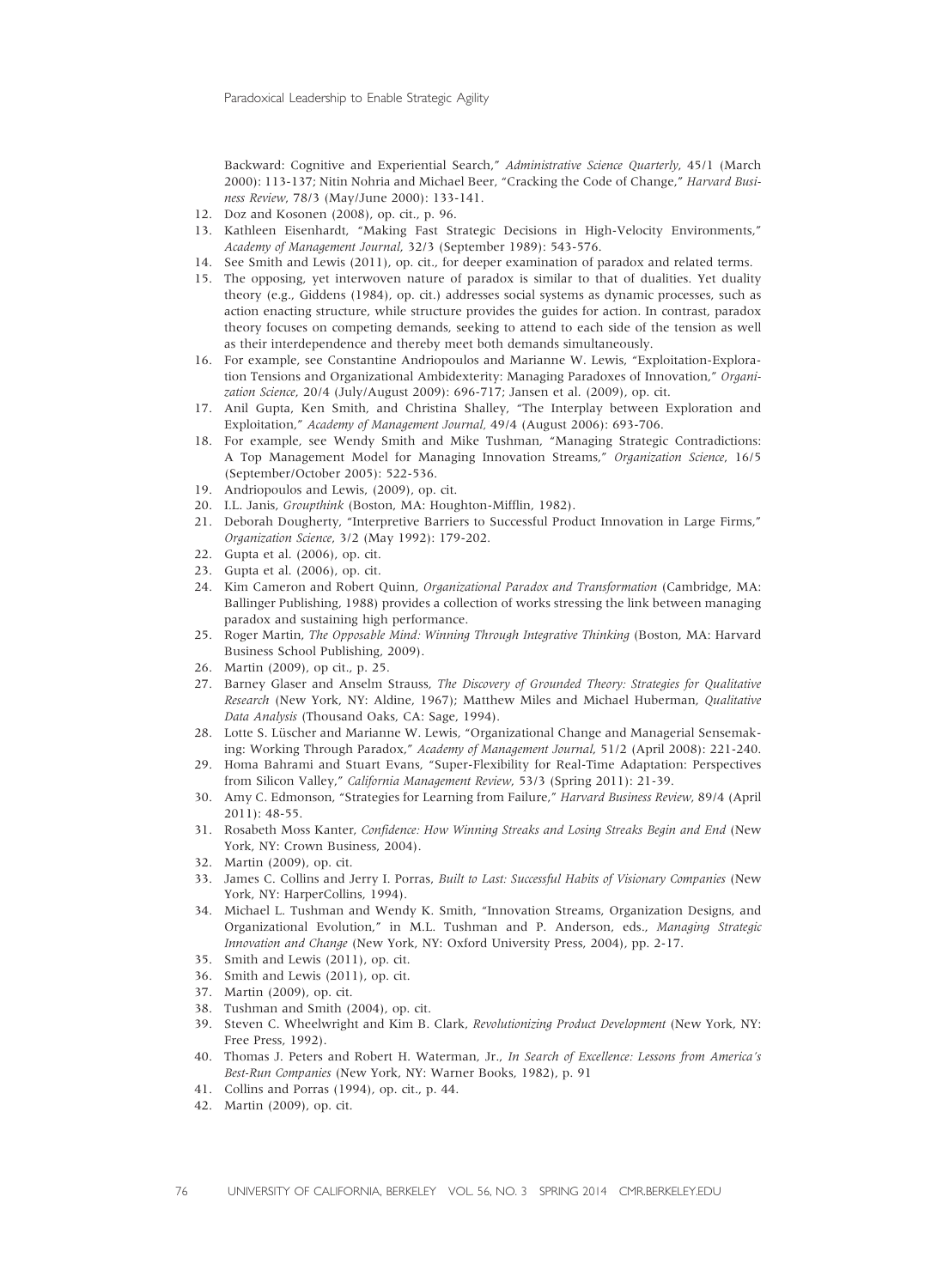Backward: Cognitive and Experiential Search," Administrative Science Quarterly, 45/1 (March 2000): 113-137; Nitin Nohria and Michael Beer, "Cracking the Code of Change," Harvard Business Review, 78/3 (May/June 2000): 133-141.

- 12. Doz and Kosonen (2008), op. cit., p. 96.
- 13. Kathleen Eisenhardt, "Making Fast Strategic Decisions in High-Velocity Environments," Academy of Management Journal, 32/3 (September 1989): 543-576.
- 14. See Smith and Lewis (2011), op. cit., for deeper examination of paradox and related terms.
- 15. The opposing, yet interwoven nature of paradox is similar to that of dualities. Yet duality theory (e.g., Giddens (1984), op. cit.) addresses social systems as dynamic processes, such as action enacting structure, while structure provides the guides for action. In contrast, paradox theory focuses on competing demands, seeking to attend to each side of the tension as well as their interdependence and thereby meet both demands simultaneously.
- 16. For example, see Constantine Andriopoulos and Marianne W. Lewis, "Exploitation-Exploration Tensions and Organizational Ambidexterity: Managing Paradoxes of Innovation," Organization Science, 20/4 (July/August 2009): 696-717; Jansen et al. (2009), op. cit.
- 17. Anil Gupta, Ken Smith, and Christina Shalley, "The Interplay between Exploration and Exploitation," Academy of Management Journal, 49/4 (August 2006): 693-706.
- 18. For example, see Wendy Smith and Mike Tushman, "Managing Strategic Contradictions: A Top Management Model for Managing Innovation Streams," Organization Science, 16/5 (September/October 2005): 522-536.
- 19. Andriopoulos and Lewis, (2009), op. cit.
- 20. I.L. Janis, Groupthink (Boston, MA: Houghton-Mifflin, 1982).
- 21. Deborah Dougherty, "Interpretive Barriers to Successful Product Innovation in Large Firms," Organization Science, 3/2 (May 1992): 179-202.
- 22. Gupta et al. (2006), op. cit.
- 23. Gupta et al. (2006), op. cit.
- 24. Kim Cameron and Robert Quinn, Organizational Paradox and Transformation (Cambridge, MA: Ballinger Publishing, 1988) provides a collection of works stressing the link between managing paradox and sustaining high performance.
- 25. Roger Martin, The Opposable Mind: Winning Through Integrative Thinking (Boston, MA: Harvard Business School Publishing, 2009).
- 26. Martin (2009), op cit., p. 25.
- 27. Barney Glaser and Anselm Strauss, The Discovery of Grounded Theory: Strategies for Qualitative Research (New York, NY: Aldine, 1967); Matthew Miles and Michael Huberman, Qualitative Data Analysis (Thousand Oaks, CA: Sage, 1994).
- 28. Lotte S. Lüscher and Marianne W. Lewis, "Organizational Change and Managerial Sensemaking: Working Through Paradox," Academy of Management Journal, 51/2 (April 2008): 221-240.
- 29. Homa Bahrami and Stuart Evans, "Super-Flexibility for Real-Time Adaptation: Perspectives from Silicon Valley," California Management Review, 53/3 (Spring 2011): 21-39.
- 30. Amy C. Edmonson, "Strategies for Learning from Failure," Harvard Business Review, 89/4 (April 2011): 48-55.
- 31. Rosabeth Moss Kanter, Confidence: How Winning Streaks and Losing Streaks Begin and End (New York, NY: Crown Business, 2004).
- 32. Martin (2009), op. cit.
- 33. James C. Collins and Jerry I. Porras, Built to Last: Successful Habits of Visionary Companies (New York, NY: HarperCollins, 1994).
- 34. Michael L. Tushman and Wendy K. Smith, "Innovation Streams, Organization Designs, and Organizational Evolution," in M.L. Tushman and P. Anderson, eds., Managing Strategic Innovation and Change (New York, NY: Oxford University Press, 2004), pp. 2-17.
- 35. Smith and Lewis (2011), op. cit.
- 36. Smith and Lewis (2011), op. cit.
- 37. Martin (2009), op. cit.
- 38. Tushman and Smith (2004), op. cit.
- 39. Steven C. Wheelwright and Kim B. Clark, Revolutionizing Product Development (New York, NY: Free Press, 1992).
- 40. Thomas J. Peters and Robert H. Waterman, Jr., In Search of Excellence: Lessons from America's Best-Run Companies (New York, NY: Warner Books, 1982), p. 91
- 41. Collins and Porras (1994), op. cit., p. 44.
- 42. Martin (2009), op. cit.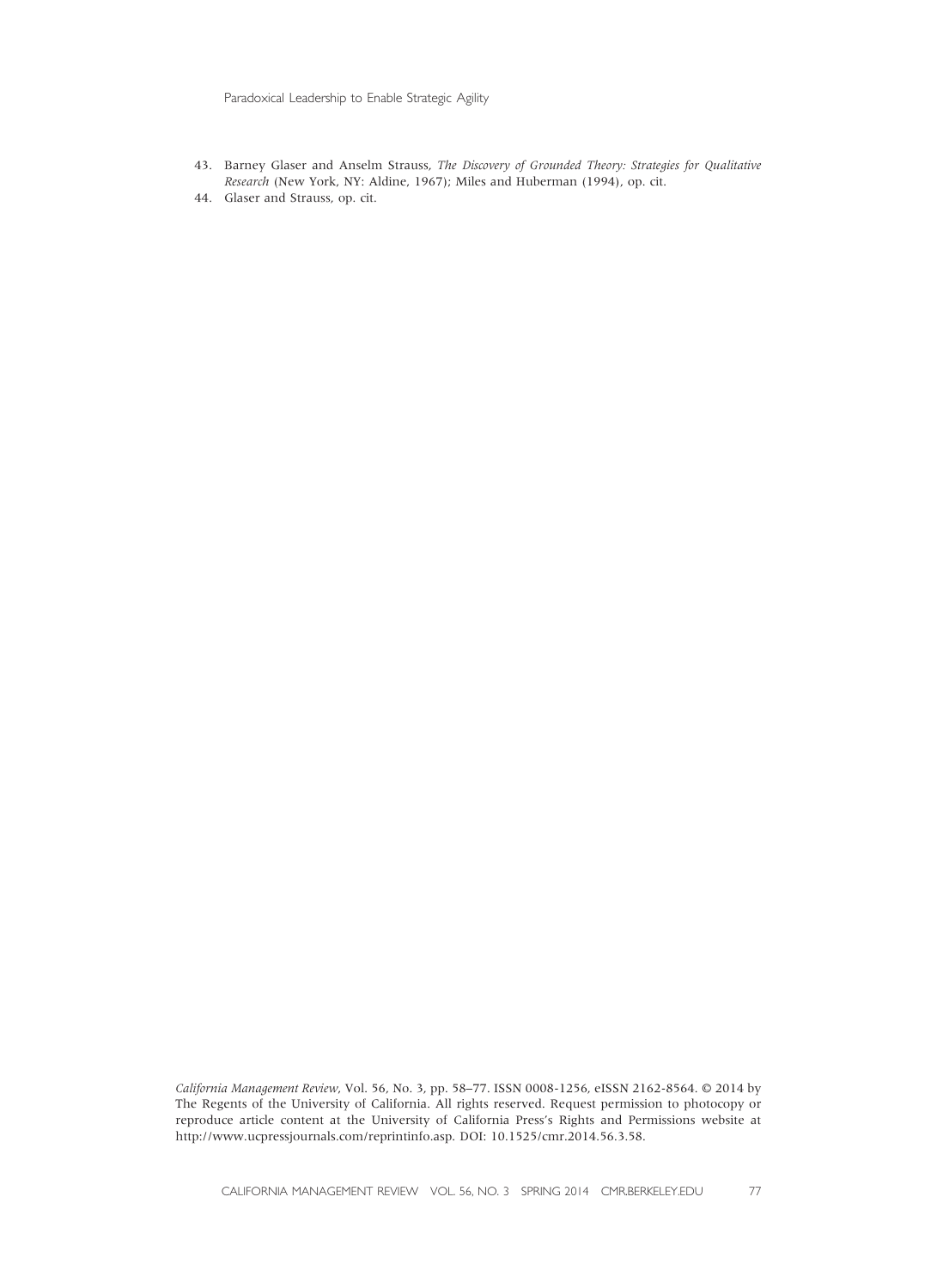Paradoxical Leadership to Enable Strategic Agility

- 43. Barney Glaser and Anselm Strauss, The Discovery of Grounded Theory: Strategies for Qualitative Research (New York, NY: Aldine, 1967); Miles and Huberman (1994), op. cit.
- 44. Glaser and Strauss, op. cit.

California Management Review, Vol. 56, No. 3, pp. 58–77. ISSN 0008-1256, eISSN 2162-8564. © 2014 by The Regents of the University of California. All rights reserved. Request permission to photocopy or reproduce article content at the University of California Press's Rights and Permissions website at http://www.ucpressjournals.com/reprintinfo.asp. DOI: 10.1525/cmr.2014.56.3.58.